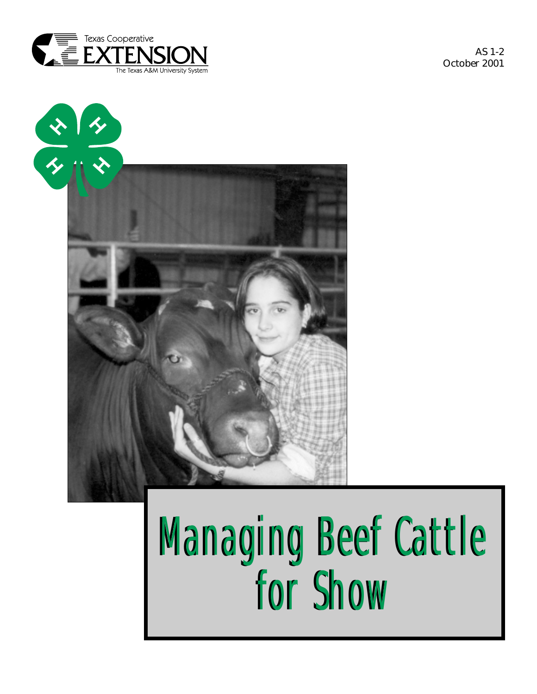

AS 1-2 October 2001



# Managing Beef Cattle Managing Beef Cattle for Show for Show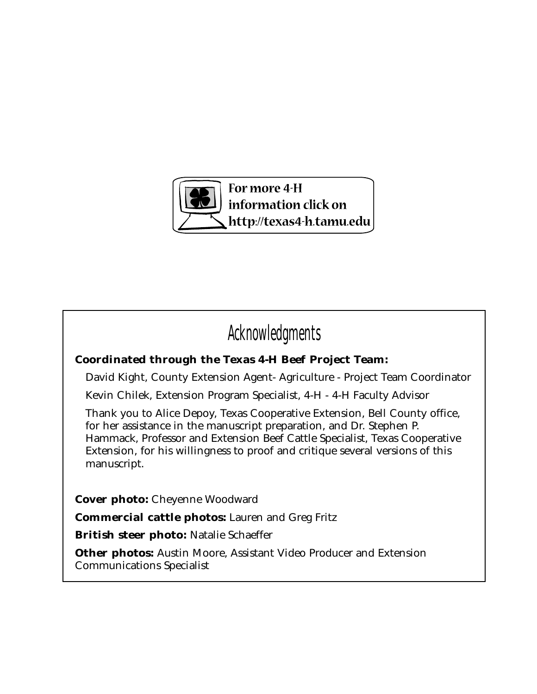

# Acknowledgments

## **Coordinated through the Texas 4-H Beef Project Team:**

David Kight, County Extension Agent- Agriculture - Project Team Coordinator

Kevin Chilek, Extension Program Specialist, 4-H - 4-H Faculty Advisor

Thank you to Alice Depoy, Texas Cooperative Extension, Bell County office, for her assistance in the manuscript preparation, and Dr. Stephen P. Hammack, Professor and Extension Beef Cattle Specialist, Texas Cooperative Extension, for his willingness to proof and critique several versions of this manuscript.

**Cover photo:** Cheyenne Woodward

**Commercial cattle photos:** Lauren and Greg Fritz

**British steer photo:** Natalie Schaeffer

**Other photos:** Austin Moore, Assistant Video Producer and Extension Communications Specialist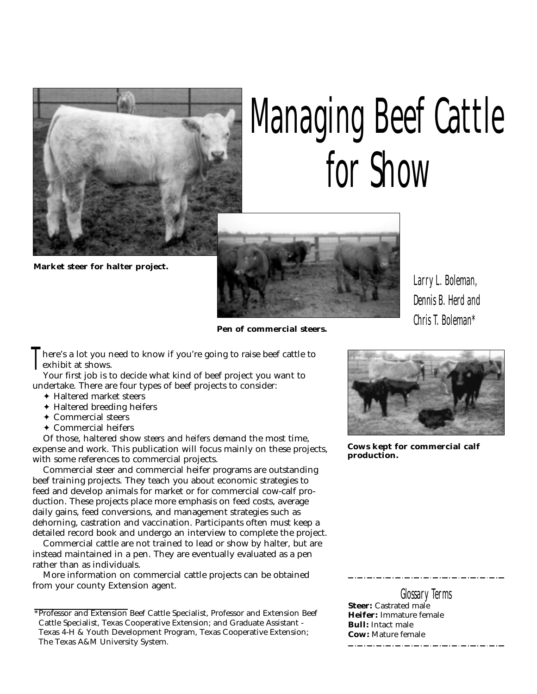

# Managing Beef Cattle for Show

**Market steer for halter project.**



here's a lot you need to know if you're going to raise beef cattle to exhibit at shows. T

Your first job is to decide what kind of beef project you want to undertake. There are four types of beef projects to consider:

- ✦ Haltered market steers
- ✦ Haltered breeding heifers
- ✦ Commercial steers
- ✦ Commercial heifers

Of those, haltered show *steers* and *heifers* demand the most time, expense and work. This publication will focus mainly on these projects, with some references to commercial projects.

Commercial steer and commercial heifer programs are outstanding beef training projects. They teach you about economic strategies to feed and develop animals for market or for commercial cow-calf production. These projects place more emphasis on feed costs, average daily gains, feed conversions, and management strategies such as dehorning, castration and vaccination. Participants often must keep a detailed record book and undergo an interview to complete the project.

Commercial cattle are not trained to lead or show by halter, but are instead maintained in a pen. They are eventually evaluated as a pen rather than as individuals.

More information on commercial cattle projects can be obtained from your county Extension agent.

Larry L. Boleman, Dennis B. Herd and Chris T. Boleman\*



**Cows kept for commercial calf production.**

Glossary Terms **Steer:** Castrated male

**Heifer:** Immature female **Bull:** Intact male **Cow:** Mature female 

<sup>\*</sup>Professor and Extension Beef Cattle Specialist, Professor and Extension Beef Cattle Specialist, Texas Cooperative Extension; and Graduate Assistant - Texas 4-H & Youth Development Program, Texas Cooperative Extension; The Texas A&M University System.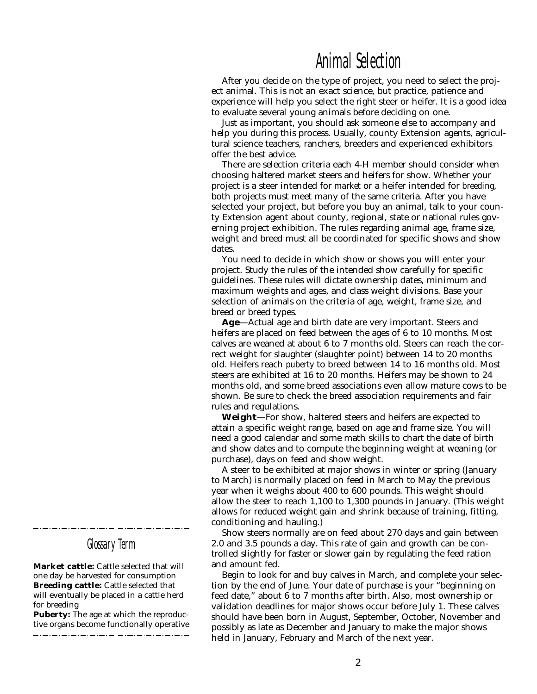## Animal Selection

After you decide on the type of project, you need to select the project animal. This is not an exact science, but practice, patience and experience will help you select the right steer or heifer. It is a good idea to evaluate several young animals before deciding on one.

Just as important, you should ask someone else to accompany and help you during this process. Usually, county Extension agents, agricultural science teachers, ranchers, breeders and experienced exhibitors offer the best advice.

There are selection criteria each 4-H member should consider when choosing haltered market steers and heifers for show. Whether your project is a steer intended for *market* or a heifer intended for *breeding*, both projects must meet many of the same criteria. After you have selected your project, but before you buy an animal, talk to your county Extension agent about county, regional, state or national rules governing project exhibition. The rules regarding animal age, frame size, weight and breed must all be coordinated for specific shows and show dates.

You need to decide in which show or shows you will enter your project. Study the rules of the intended show carefully for specific guidelines. These rules will dictate ownership dates, minimum and maximum weights and ages, and class weight divisions. Base your selection of animals on the criteria of age, weight, frame size, and breed or breed types.

**Age**—Actual age and birth date are very important. Steers and heifers are placed on feed between the ages of 6 to 10 months. Most calves are weaned at about 6 to 7 months old. Steers can reach the correct weight for slaughter (slaughter point) between 14 to 20 months old. Heifers reach *puberty* to breed between 14 to 16 months old. Most steers are exhibited at 16 to 20 months. Heifers may be shown to 24 months old, and some breed associations even allow mature cows to be shown. Be sure to check the breed association requirements and fair rules and regulations.

**Weight**—For show, haltered steers and heifers are expected to attain a specific weight range, based on age and frame size. You will need a good calendar and some math skills to chart the date of birth and show dates and to compute the beginning weight at weaning (or purchase), days on feed and show weight.

A steer to be exhibited at major shows in winter or spring (January to March) is normally placed on feed in March to May the previous year when it weighs about 400 to 600 pounds. This weight should allow the steer to reach 1,100 to 1,300 pounds in January. (This weight allows for reduced weight gain and shrink because of training, fitting, conditioning and hauling.)

Show steers normally are on feed about 270 days and gain between 2.0 and 3.5 pounds a day. This rate of gain and growth can be controlled slightly for faster or slower gain by regulating the feed ration and amount fed.

Begin to look for and buy calves in March, and complete your selection by the end of June. Your date of purchase is your "beginning on feed date," about 6 to 7 months after birth. Also, most ownership or validation deadlines for major shows occur before July 1. These calves should have been born in August, September, October, November and possibly as late as December and January to make the major shows held in January, February and March of the next year.

Glossary Term

**Market cattle:** Cattle selected that will one day be harvested for consumption **Breeding cattle:** Cattle selected that will eventually be placed in a cattle herd for breeding

**Puberty:** The age at which the reproductive organs become functionally operative \_\_\_\_\_\_\_\_\_\_\_\_\_\_\_\_\_\_\_\_\_\_\_\_\_\_\_\_\_\_\_\_\_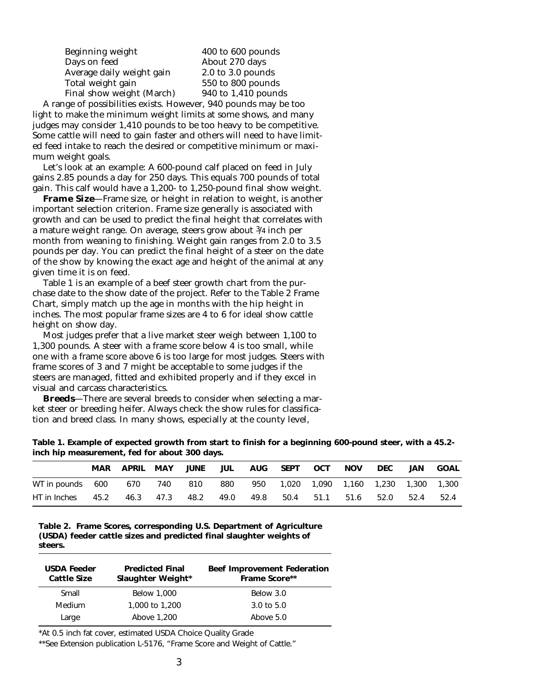Beginning weight 400 to 600 pounds Days on feed **About 270 days**<br>Average daily weight gain 2.0 to 3.0 pounds Average daily weight gain Total weight gain 550 to 800 pounds Final show weight (March) 940 to 1,410 pounds

A range of possibilities exists. However, 940 pounds may be too light to make the minimum weight limits at some shows, and many judges may consider 1,410 pounds to be too heavy to be competitive. Some cattle will need to gain faster and others will need to have limited feed intake to reach the desired or competitive minimum or maximum weight goals.

Let's look at an example: A 600-pound calf placed on feed in July gains 2.85 pounds a day for 250 days. This equals 700 pounds of total gain. This calf would have a 1,200- to 1,250-pound final show weight.

**Frame Size**—Frame size, or height in relation to weight, is another important selection criterion. Frame size generally is associated with growth and can be used to predict the final height that correlates with a mature weight range. On average, steers grow about 3/4 inch per month from weaning to finishing. Weight gain ranges from 2.0 to 3.5 pounds per day. You can predict the final height of a steer on the date of the show by knowing the exact age and height of the animal at any given time it is on feed.

Table 1 is an example of a beef steer growth chart from the purchase date to the show date of the project. Refer to the Table 2 Frame Chart, simply match up the age in months with the hip height in inches. The most popular frame sizes are 4 to 6 for ideal show cattle height on show day.

Most judges prefer that a live market steer weigh between 1,100 to 1,300 pounds. A steer with a frame score below 4 is too small, while one with a frame score above 6 is too large for most judges. Steers with frame scores of 3 and 7 might be acceptable to some judges if the steers are managed, fitted and exhibited properly and if they excel in visual and carcass characteristics.

**Breeds**—There are several breeds to consider when selecting a market steer or breeding heifer. Always check the show rules for classification and breed class. In many shows, especially at the county level,

| Table 1. Example of expected growth from start to finish for a beginning 600-pound steer, with a 45.2- |  |  |  |
|--------------------------------------------------------------------------------------------------------|--|--|--|
| inch hip measurement, fed for about 300 days.                                                          |  |  |  |

|              | <b>MAR</b> | APRIL | <b>MAY</b> | JUNE | JUL  | <b>AUG</b> | SEPT  | OCT  | <b>NOV</b>              | <b>DEC</b> | JAN. | GOAL  |
|--------------|------------|-------|------------|------|------|------------|-------|------|-------------------------|------------|------|-------|
| WT in pounds | 600        | 670   | 740        | 810  | 880  | 950        | 1,020 |      | 1,090 1,160 1,230 1,300 |            |      | 1,300 |
| HT in Inches | 45.2       | 46.3  | 47.3       | 48.2 | 49.0 | 49.8       | 50.4  | 51.1 | 51.6                    | 52.0       | 52.4 | 52.4  |

**Table 2. Frame Scores, corresponding U.S. Department of Agriculture (USDA) feeder cattle sizes and predicted final slaughter weights of steers.**

| <b>USDA Feeder</b><br><b>Cattle Size</b> | <b>Predicted Final</b><br>Slaughter Weight* | <b>Beef Improvement Federation</b><br><b>Frame Score**</b> |  |  |  |  |
|------------------------------------------|---------------------------------------------|------------------------------------------------------------|--|--|--|--|
| Small                                    | <b>Below 1,000</b>                          | Below 3.0                                                  |  |  |  |  |
| Medium                                   | 1,000 to 1,200                              | $3.0 \text{ to } 5.0$                                      |  |  |  |  |
| Large                                    | Above 1,200                                 | Above $5.0$                                                |  |  |  |  |

\*At 0.5 inch fat cover, estimated USDA Choice Quality Grade

\*\*See Extension publication L-5176, "Frame Score and Weight of Cattle."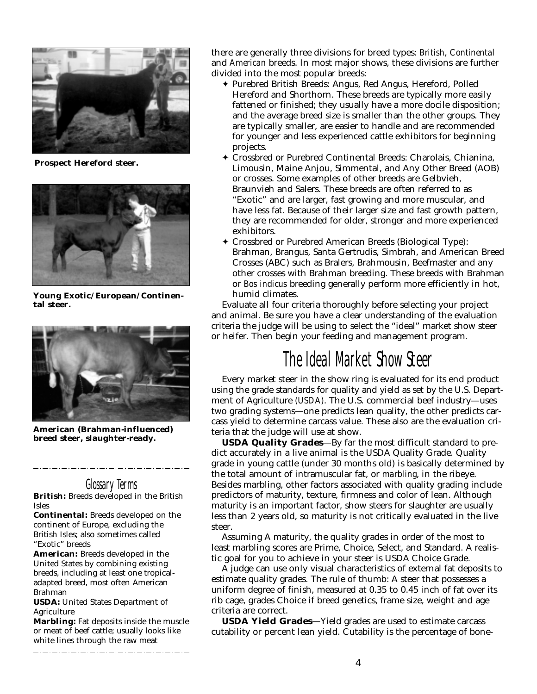

**Prospect Hereford steer.**



**Young Exotic/European/Continental steer.**



**American (Brahman-influenced) breed steer, slaughter-ready.**

## Glossary Terms

**British:** Breeds developed in the British Isles

**Continental:** Breeds developed on the continent of Europe, excluding the British Isles; also sometimes called "Exotic" breeds

**American:** Breeds developed in the United States by combining existing breeds, including at least one tropicaladapted breed, most often American Brahman

**USDA:** United States Department of Agriculture

**Marbling:** Fat deposits inside the muscle or meat of beef cattle; usually looks like white lines through the raw meat

\_\_\_\_\_\_\_\_\_\_\_\_\_\_\_\_\_\_\_\_\_\_\_\_\_\_\_\_\_\_\_\_\_\_\_

there are generally three divisions for breed types: *British*, *Continental* and *American* breeds. In most major shows, these divisions are further divided into the most popular breeds:

- ✦ Purebred British Breeds: Angus, Red Angus, Hereford, Polled Hereford and Shorthorn. These breeds are typically more easily fattened or finished; they usually have a more docile disposition; and the average breed size is smaller than the other groups. They are typically smaller, are easier to handle and are recommended for younger and less experienced cattle exhibitors for beginning projects.
- ✦ Crossbred or Purebred Continental Breeds: Charolais, Chianina, Limousin, Maine Anjou, Simmental, and Any Other Breed (AOB) or crosses. Some examples of other breeds are Gelbvieh, Braunvieh and Salers. These breeds are often referred to as "Exotic" and are larger, fast growing and more muscular, and have less fat. Because of their larger size and fast growth pattern, they are recommended for older, stronger and more experienced exhibitors.
- ✦ Crossbred or Purebred American Breeds (Biological Type): Brahman, Brangus, Santa Gertrudis, Simbrah, and American Breed Crosses (ABC) such as Bralers, Brahmousin, Beefmaster and any other crosses with Brahman breeding. These breeds with Brahman or *Bos indicus* breeding generally perform more efficiently in hot, humid climates.

Evaluate all four criteria thoroughly before selecting your project and animal. Be sure you have a clear understanding of the evaluation criteria the judge will be using to select the "ideal" market show steer or heifer. Then begin your feeding and management program.

# The Ideal Market Show Steer

Every market steer in the show ring is evaluated for its end product using the grade standards for quality and yield as set by the U.S. Department of Agriculture *(USDA)*. The U.S. commercial beef industry—uses two grading systems—one predicts lean quality, the other predicts carcass yield to determine carcass value. These also are the evaluation criteria that the judge will use at show.

**USDA Quality Grades**—By far the most difficult standard to predict accurately in a live animal is the USDA Quality Grade. Quality grade in young cattle (under 30 months old) is basically determined by the total amount of intramuscular fat, or *marbling*, in the ribeye. Besides marbling, other factors associated with quality grading include predictors of maturity, texture, firmness and color of lean. Although maturity is an important factor, show steers for slaughter are usually less than 2 years old, so maturity is not critically evaluated in the live steer.

Assuming A maturity, the quality grades in order of the most to least marbling scores are Prime, Choice, Select, and Standard. A realistic goal for you to achieve in your steer is USDA Choice Grade.

A judge can use only visual characteristics of external fat deposits to estimate quality grades. The rule of thumb: A steer that possesses a uniform degree of finish, measured at 0.35 to 0.45 inch of fat over its rib cage, grades Choice if breed genetics, frame size, weight and age criteria are correct.

**USDA Yield Grades**—Yield grades are used to estimate carcass cutability or percent lean yield. Cutability is the percentage of bone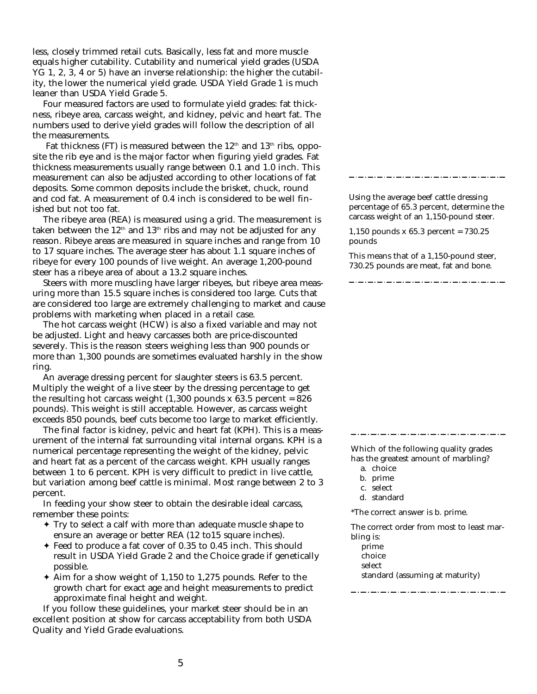less, closely trimmed retail cuts. Basically, less fat and more muscle equals higher cutability. Cutability and numerical yield grades (USDA YG 1, 2, 3, 4 or 5) have an inverse relationship: the higher the cutability, the lower the numerical yield grade. USDA Yield Grade 1 is much leaner than USDA Yield Grade 5.

Four measured factors are used to formulate yield grades: fat thickness, ribeye area, carcass weight, and kidney, pelvic and heart fat. The numbers used to derive yield grades will follow the description of all the measurements.

Fat thickness (FT) is measured between the  $12<sup>th</sup>$  and  $13<sup>th</sup>$  ribs, opposite the rib eye and is the major factor when figuring yield grades. Fat thickness measurements usually range between 0.1 and 1.0 inch. This measurement can also be adjusted according to other locations of fat deposits. Some common deposits include the brisket, chuck, round and cod fat. A measurement of 0.4 inch is considered to be well finished but not too fat.

The ribeye area (REA) is measured using a grid. The measurement is taken between the  $12<sup>th</sup>$  and  $13<sup>th</sup>$  ribs and may not be adjusted for any reason. Ribeye areas are measured in square inches and range from 10 to 17 square inches. The average steer has about 1.1 square inches of ribeye for every 100 pounds of live weight. An average 1,200-pound steer has a ribeye area of about a 13.2 square inches.

Steers with more muscling have larger ribeyes, but ribeye area measuring more than 15.5 square inches is considered too large. Cuts that are considered too large are extremely challenging to market and cause problems with marketing when placed in a retail case.

The hot carcass weight (HCW) is also a fixed variable and may not be adjusted. Light and heavy carcasses both are price-discounted severely. This is the reason steers weighing less than 900 pounds or more than 1,300 pounds are sometimes evaluated harshly in the show ring.

An average dressing percent for slaughter steers is 63.5 percent. Multiply the weight of a live steer by the dressing percentage to get the resulting hot carcass weight  $(1,300 \text{ pounds } x \text{ } 63.5 \text{ percent} = 826$ pounds). This weight is still acceptable. However, as carcass weight exceeds 850 pounds, beef cuts become too large to market efficiently.

The final factor is kidney, pelvic and heart fat (KPH). This is a measurement of the internal fat surrounding vital internal organs. KPH is a numerical percentage representing the weight of the kidney, pelvic and heart fat as a percent of the carcass weight. KPH usually ranges between 1 to 6 percent. KPH is very difficult to predict in live cattle, but variation among beef cattle is minimal. Most range between 2 to 3 percent.

In feeding your show steer to obtain the desirable ideal carcass, remember these points:

- ✦ Try to select a calf with more than adequate muscle shape to ensure an average or better REA (12 to15 square inches).
- ✦ Feed to produce a fat cover of 0.35 to 0.45 inch. This should result in USDA Yield Grade 2 and the Choice grade if genetically possible.
- ✦ Aim for a show weight of 1,150 to 1,275 pounds. Refer to the growth chart for exact age and height measurements to predict approximate final height and weight.

If you follow these guidelines, your market steer should be in an excellent position at show for carcass acceptability from both USDA Quality and Yield Grade evaluations.

Using the average beef cattle dressing percentage of 65.3 percent, determine the carcass weight of an 1,150-pound steer.

1,150 pounds x 65.3 percent = 730.25 pounds

This means that of a 1,150-pound steer, 730.25 pounds are meat, fat and bone.

Which of the following quality grades has the greatest amount of marbling?

- b. prime
- c. select
- d. standard

\*The correct answer is b. prime.

The correct order from most to least marbling is:

prime

choice

select

standard (assuming at maturity)

a. choice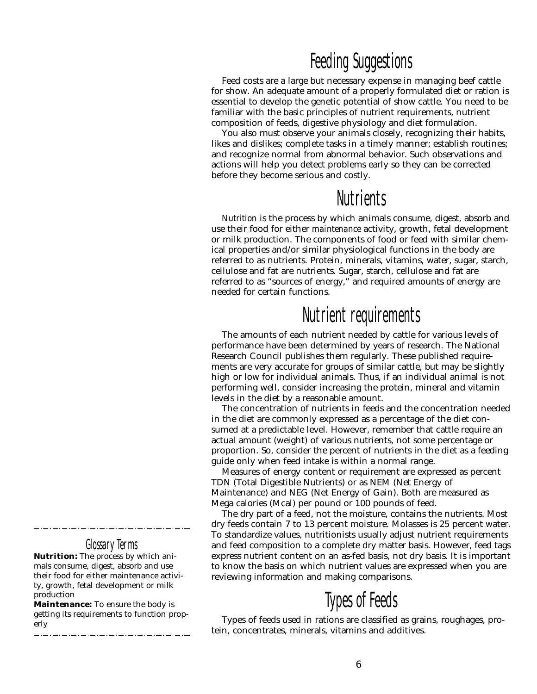## Feeding Suggestions

Feed costs are a large but necessary expense in managing beef cattle for show. An adequate amount of a properly formulated diet or ration is essential to develop the genetic potential of show cattle. You need to be familiar with the basic principles of nutrient requirements, nutrient composition of feeds, digestive physiology and diet formulation.

You also must observe your animals closely, recognizing their habits, likes and dislikes; complete tasks in a timely manner; establish routines; and recognize normal from abnormal behavior. Such observations and actions will help you detect problems early so they can be corrected before they become serious and costly.

## **Nutrients**

*Nutrition* is the process by which animals consume, digest, absorb and use their food for either *maintenance* activity, growth, fetal development or milk production. The components of food or feed with similar chemical properties and/or similar physiological functions in the body are referred to as nutrients. Protein, minerals, vitamins, water, sugar, starch, cellulose and fat are nutrients. Sugar, starch, cellulose and fat are referred to as "sources of energy," and required amounts of energy are needed for certain functions.

# Nutrient requirements

The amounts of each nutrient needed by cattle for various levels of performance have been determined by years of research. The National Research Council publishes them regularly. These published requirements are very accurate for groups of similar cattle, but may be slightly high or low for individual animals. Thus, if an individual animal is not performing well, consider increasing the protein, mineral and vitamin levels in the diet by a reasonable amount.

The concentration of nutrients in feeds and the concentration needed in the diet are commonly expressed as a percentage of the diet consumed at a predictable level. However, remember that cattle require an actual amount (weight) of various nutrients, not some percentage or proportion. So, consider the percent of nutrients in the diet as a feeding guide only when feed intake is within a normal range.

Measures of energy content or requirement are expressed as percent TDN (Total Digestible Nutrients) or as NEM (Net Energy of Maintenance) and NEG (Net Energy of Gain). Both are measured as Mega calories (Mcal) per pound or 100 pounds of feed.

The dry part of a feed, not the moisture, contains the nutrients. Most dry feeds contain 7 to 13 percent moisture. Molasses is 25 percent water. To standardize values, nutritionists usually adjust nutrient requirements and feed composition to a complete dry matter basis. However, feed tags express nutrient content on an as-fed basis, not dry basis. It is important to know the basis on which nutrient values are expressed when you are reviewing information and making comparisons.

# Types of Feeds

Types of feeds used in rations are classified as grains, roughages, protein, concentrates, minerals, vitamins and additives.

## Glossary Terms

**Nutrition:** The process by which animals consume, digest, absorb and use their food for either maintenance activity, growth, fetal development or milk production

**Maintenance:** To ensure the body is getting its requirements to function properly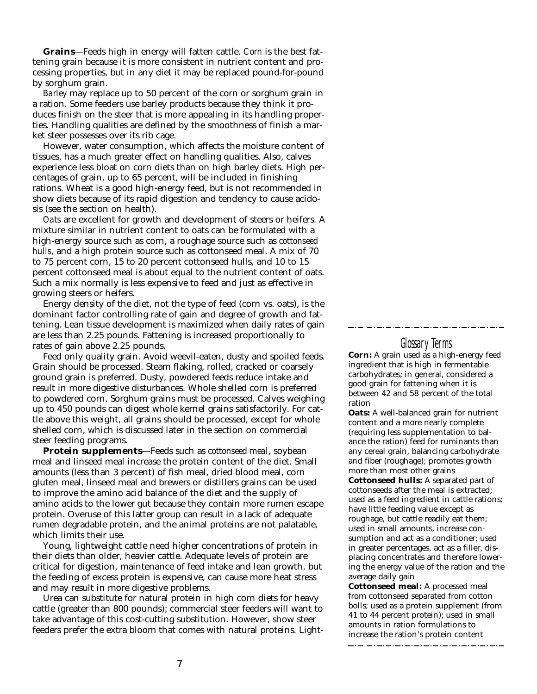**Grains**—Feeds high in energy will fatten cattle. *Corn* is the best fattening grain because it is more consistent in nutrient content and processing properties, but in any diet it may be replaced pound-for-pound by sorghum grain.

*Barley* may replace up to 50 percent of the corn or sorghum grain in a ration. Some feeders use barley products because they think it produces finish on the steer that is more appealing in its handling properties. Handling qualities are defined by the smoothness of finish a market steer possesses over its rib cage.

However, water consumption, which affects the moisture content of tissues, has a much greater effect on handling qualities. Also, calves experience less bloat on corn diets than on high barley diets. High percentages of grain, up to 65 percent, will be included in finishing rations. Wheat is a good high-energy feed, but is not recommended in show diets because of its rapid digestion and tendency to cause acidosis (see the section on health).

*Oats* are excellent for growth and development of steers or heifers. A mixture similar in nutrient content to oats can be formulated with a high-energy source such as corn, a roughage source such as *cottonseed hulls*, and a high protein source such as cottonseed meal. A mix of 70 to 75 percent corn, 15 to 20 percent cottonseed hulls, and 10 to 15 percent cottonseed meal is about equal to the nutrient content of oats. Such a mix normally is less expensive to feed and just as effective in growing steers or heifers.

Energy density of the diet, not the type of feed (corn vs. oats), is the dominant factor controlling rate of gain and degree of growth and fattening. Lean tissue development is maximized when daily rates of gain are less than 2.25 pounds. Fattening is increased proportionally to rates of gain above 2.25 pounds.

Feed only quality grain. Avoid weevil-eaten, dusty and spoiled feeds. Grain should be processed. Steam flaking, rolled, cracked or coarsely ground grain is preferred. Dusty, powdered feeds reduce intake and result in more digestive disturbances. Whole shelled corn is preferred to powdered corn. Sorghum grains must be processed. Calves weighing up to 450 pounds can digest whole kernel grains satisfactorily. For cattle above this weight, all grains should be processed, except for whole shelled corn, which is discussed later in the section on commercial steer feeding programs.

**Protein supplements**—Feeds such as *cottonseed meal*, soybean meal and linseed meal increase the protein content of the diet. Small amounts (less than 3 percent) of fish meal, dried blood meal, corn gluten meal, linseed meal and brewers or distillers grains can be used to improve the amino acid balance of the diet and the supply of amino acids to the lower gut because they contain more rumen escape protein. Overuse of this latter group can result in a lack of adequate rumen degradable protein, and the animal proteins are not palatable, which limits their use.

Young, lightweight cattle need higher concentrations of protein in their diets than older, heavier cattle. Adequate levels of protein are critical for digestion, maintenance of feed intake and lean growth, but the feeding of excess protein is expensive, can cause more heat stress and may result in more digestive problems.

Urea can substitute for natural protein in high corn diets for heavy cattle (greater than 800 pounds); commercial steer feeders will want to take advantage of this cost-cutting substitution. However, show steer feeders prefer the extra bloom that comes with natural proteins. Light-

#### Glossary Terms

**Corn:** A grain used as a high-energy feed ingredient that is high in fermentable carbohydrates; in general, considered a good grain for fattening when it is between 42 and 58 percent of the total ration

**Oats:** A well-balanced grain for nutrient content and a more nearly complete (requiring less supplementation to balance the ration) feed for ruminants than any cereal grain, balancing carbohydrate and fiber (roughage); promotes growth more than most other grains

**Cottonseed hulls:** A separated part of cottonseeds after the meal is extracted; used as a feed ingredient in cattle rations; have little feeding value except as roughage, but cattle readily eat them; used in small amounts, increase consumption and act as a conditioner; used in greater percentages, act as a filler, displacing concentrates and therefore lowering the energy value of the ration and the average daily gain

**Cottonseed meal:** A processed meal from cottonseed separated from cotton bolls; used as a protein supplement (from 41 to 44 percent protein); used in small amounts in ration formulations to increase the ration's protein content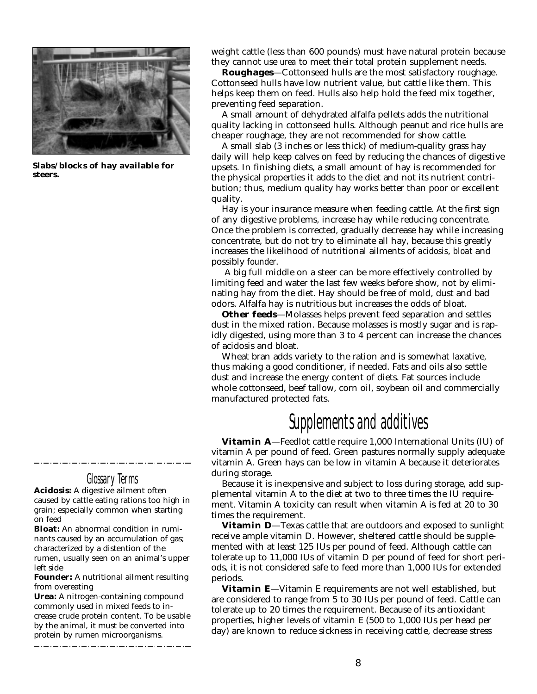

**Slabs/blocks of hay available for steers.**

Glossary Terms **Acidosis:** A digestive ailment often

caused by cattle eating rations too high in grain; especially common when starting on feed

**Bloat:** An abnormal condition in ruminants caused by an accumulation of gas; characterized by a distention of the rumen, usually seen on an animal's upper left side

**Founder:** A nutritional ailment resulting from overeating

**Urea:** A nitrogen-containing compound commonly used in mixed feeds to increase crude protein content. To be usable by the animal, it must be converted into protein by rumen microorganisms.

weight cattle (less than 600 pounds) must have natural protein because they cannot use *urea* to meet their total protein supplement needs.

**Roughages**—Cottonseed hulls are the most satisfactory roughage. Cottonseed hulls have low nutrient value, but cattle like them. This helps keep them on feed. Hulls also help hold the feed mix together, preventing feed separation.

A small amount of dehydrated alfalfa pellets adds the nutritional quality lacking in cottonseed hulls. Although peanut and rice hulls are cheaper roughage, they are not recommended for show cattle.

A small slab (3 inches or less thick) of medium-quality grass hay daily will help keep calves on feed by reducing the chances of digestive upsets. In finishing diets, a small amount of hay is recommended for the physical properties it adds to the diet and not its nutrient contribution; thus, medium quality hay works better than poor or excellent quality.

Hay is your insurance measure when feeding cattle. At the first sign of any digestive problems, increase hay while reducing concentrate. Once the problem is corrected, gradually decrease hay while increasing concentrate, but do not try to eliminate all hay, because this greatly increases the likelihood of nutritional ailments of *acidosis*, *bloat* and possibly *founder*.

A big full middle on a steer can be more effectively controlled by limiting feed and water the last few weeks before show, not by eliminating hay from the diet. Hay should be free of mold, dust and bad odors. Alfalfa hay is nutritious but increases the odds of bloat.

**Other feeds**—Molasses helps prevent feed separation and settles dust in the mixed ration. Because molasses is mostly sugar and is rapidly digested, using more than 3 to 4 percent can increase the chances of acidosis and bloat.

Wheat bran adds variety to the ration and is somewhat laxative, thus making a good conditioner, if needed. Fats and oils also settle dust and increase the energy content of diets. Fat sources include whole cottonseed, beef tallow, corn oil, soybean oil and commercially manufactured protected fats.

# Supplements and additives

**Vitamin A**—Feedlot cattle require 1,000 International Units (IU) of vitamin A per pound of feed. Green pastures normally supply adequate vitamin A. Green hays can be low in vitamin A because it deteriorates during storage.

Because it is inexpensive and subject to loss during storage, add supplemental vitamin A to the diet at two to three times the IU requirement. Vitamin A toxicity can result when vitamin A is fed at 20 to 30 times the requirement.

**Vitamin D**—Texas cattle that are outdoors and exposed to sunlight receive ample vitamin D. However, sheltered cattle should be supplemented with at least 125 IUs per pound of feed. Although cattle can tolerate up to 11,000 IUs of vitamin D per pound of feed for short periods, it is not considered safe to feed more than 1,000 IUs for extended periods.

**Vitamin E**—Vitamin E requirements are not well established, but are considered to range from 5 to 30 IUs per pound of feed. Cattle can tolerate up to 20 times the requirement. Because of its antioxidant properties, higher levels of vitamin E (500 to 1,000 IUs per head per day) are known to reduce sickness in receiving cattle, decrease stress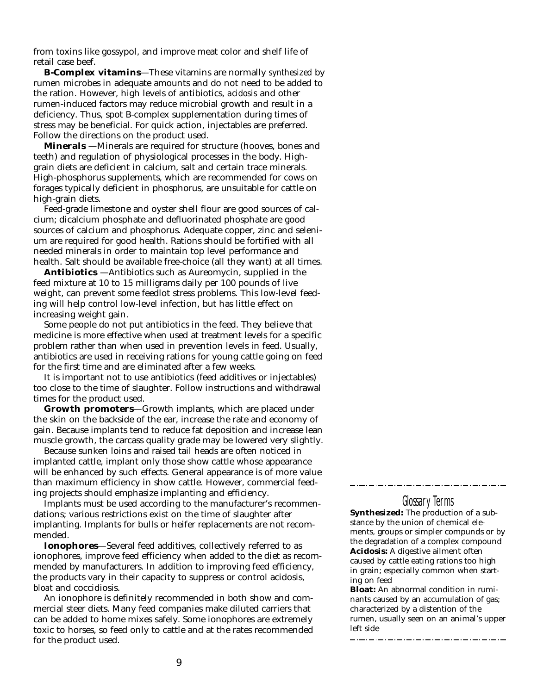from toxins like gossypol, and improve meat color and shelf life of retail case beef.

**B-Complex vitamins**—These vitamins are normally *synthesized* by rumen microbes in adequate amounts and do not need to be added to the ration. However, high levels of antibiotics, *acidosis* and other rumen-induced factors may reduce microbial growth and result in a deficiency. Thus, spot B-complex supplementation during times of stress may be beneficial. For quick action, injectables are preferred. Follow the directions on the product used.

**Minerals** —Minerals are required for structure (hooves, bones and teeth) and regulation of physiological processes in the body. Highgrain diets are deficient in calcium, salt and certain trace minerals. High-phosphorus supplements, which are recommended for cows on forages typically deficient in phosphorus, are unsuitable for cattle on high-grain diets.

Feed-grade limestone and oyster shell flour are good sources of calcium; dicalcium phosphate and defluorinated phosphate are good sources of calcium and phosphorus. Adequate copper, zinc and selenium are required for good health. Rations should be fortified with all needed minerals in order to maintain top level performance and health. Salt should be available free-choice (all they want) at all times.

**Antibiotics** —Antibiotics such as Aureomycin, supplied in the feed mixture at 10 to 15 milligrams daily per 100 pounds of live weight, can prevent some feedlot stress problems. This low-level feeding will help control low-level infection, but has little effect on increasing weight gain.

Some people do not put antibiotics in the feed. They believe that medicine is more effective when used at treatment levels for a specific problem rather than when used in prevention levels in feed. Usually, antibiotics are used in receiving rations for young cattle going on feed for the first time and are eliminated after a few weeks.

It is important not to use antibiotics (feed additives or injectables) too close to the time of slaughter. Follow instructions and withdrawal times for the product used.

**Growth promoters**—Growth implants, which are placed under the skin on the backside of the ear, increase the rate and economy of gain. Because implants tend to reduce fat deposition and increase lean muscle growth, the carcass quality grade may be lowered very slightly.

Because sunken loins and raised tail heads are often noticed in implanted cattle, implant only those show cattle whose appearance will be enhanced by such effects. General appearance is of more value than maximum efficiency in show cattle. However, commercial feeding projects should emphasize implanting and efficiency.

Implants must be used according to the manufacturer's recommendations; various restrictions exist on the time of slaughter after implanting. Implants for bulls or heifer replacements are not recommended.

**Ionophores**—Several feed additives, collectively referred to as ionophores, improve feed efficiency when added to the diet as recommended by manufacturers. In addition to improving feed efficiency, the products vary in their capacity to suppress or control acidosis, *bloat* and coccidiosis.

An ionophore is definitely recommended in both show and commercial steer diets. Many feed companies make diluted carriers that can be added to home mixes safely. Some ionophores are extremely toxic to horses, so feed only to cattle and at the rates recommended for the product used.

#### Glossary Terms

**Synthesized:** The production of a substance by the union of chemical elements, groups or simpler compunds or by the degradation of a complex compound **Acidosis:** A digestive ailment often caused by cattle eating rations too high in grain; especially common when starting on feed

**Bloat:** An abnormal condition in ruminants caused by an accumulation of gas; characterized by a distention of the rumen, usually seen on an animal's upper left side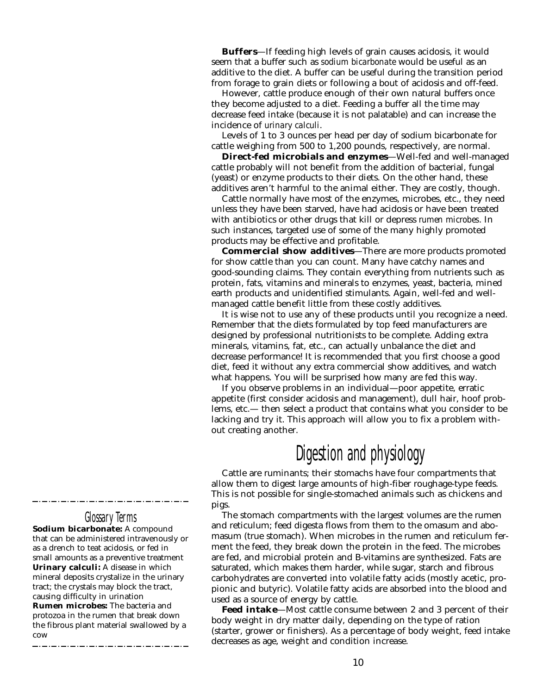**Buffers**—If feeding high levels of grain causes acidosis, it would seem that a buffer such as *sodium bicarbonate* would be useful as an additive to the diet. A buffer can be useful during the transition period from forage to grain diets or following a bout of acidosis and off-feed.

However, cattle produce enough of their own natural buffers once they become adjusted to a diet. Feeding a buffer all the time may decrease feed intake (because it is not palatable) and can increase the incidence of *urinary calculi*.

Levels of 1 to 3 ounces per head per day of sodium bicarbonate for cattle weighing from 500 to 1,200 pounds, respectively, are normal.

**Direct-fed microbials and enzymes**—Well-fed and well-managed cattle probably will not benefit from the addition of bacterial, fungal (yeast) or enzyme products to their diets. On the other hand, these additives aren't harmful to the animal either. They are costly, though.

Cattle normally have most of the enzymes, microbes, etc., they need unless they have been starved, have had acidosis or have been treated with antibiotics or other drugs that kill or depress *rumen microbes*. In such instances, targeted use of some of the many highly promoted products may be effective and profitable.

**Commercial show additives**—There are more products promoted for show cattle than you can count. Many have catchy names and good-sounding claims. They contain everything from nutrients such as protein, fats, vitamins and minerals to enzymes, yeast, bacteria, mined earth products and unidentified stimulants. Again, well-fed and wellmanaged cattle benefit little from these costly additives.

It is wise not to use any of these products until you recognize a need. Remember that the diets formulated by top feed manufacturers are designed by professional nutritionists to be complete. Adding extra minerals, vitamins, fat, etc., can actually unbalance the diet and decrease performance! It is recommended that you first choose a good diet, feed it without any extra commercial show additives, and watch what happens. You will be surprised how many are fed this way.

If you observe problems in an individual—poor appetite, erratic appetite (first consider acidosis and management), dull hair, hoof problems, etc.— then select a product that contains what you consider to be lacking and try it. This approach will allow you to fix a problem without creating another.

# Digestion and physiology

Cattle are ruminants; their stomachs have four compartments that allow them to digest large amounts of high-fiber roughage-type feeds. This is not possible for single-stomached animals such as chickens and pigs.

The stomach compartments with the largest volumes are the rumen and reticulum; feed digesta flows from them to the omasum and abomasum (true stomach). When microbes in the rumen and reticulum ferment the feed, they break down the protein in the feed. The microbes are fed, and microbial protein and B-vitamins are synthesized. Fats are saturated, which makes them harder, while sugar, starch and fibrous carbohydrates are converted into volatile fatty acids (mostly acetic, propionic and butyric). Volatile fatty acids are absorbed into the blood and used as a source of energy by cattle.

**Feed intake**—Most cattle consume between 2 and 3 percent of their body weight in dry matter daily, depending on the type of ration (starter, grower or finishers). As a percentage of body weight, feed intake decreases as age, weight and condition increase.

## Glossary Terms

**Sodium bicarbonate:** A compound that can be administered intravenously or as a drench to teat acidosis, or fed in small amounts as a preventive treatment **Urinary calculi:** A disease in which mineral deposits crystalize in the urinary tract; the crystals may block the tract, causing difficulty in urination **Rumen microbes:** The bacteria and protozoa in the rumen that break down the fibrous plant material swallowed by a cow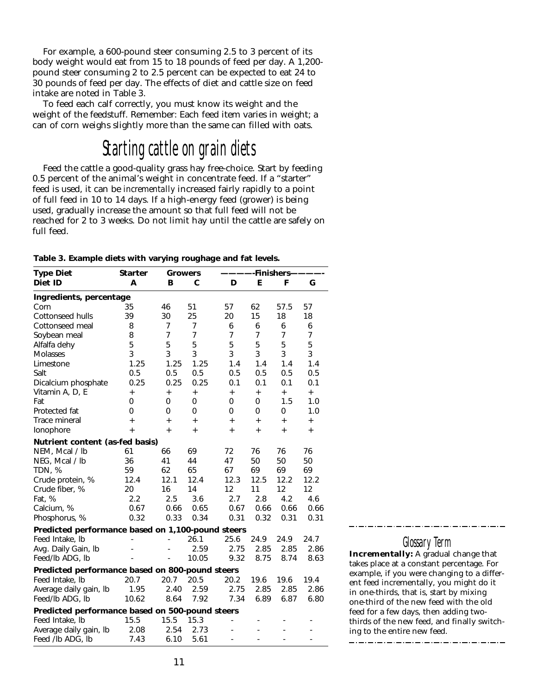For example, a 600-pound steer consuming 2.5 to 3 percent of its body weight would eat from 15 to 18 pounds of feed per day. A 1,200 pound steer consuming 2 to 2.5 percent can be expected to eat 24 to 30 pounds of feed per day. The effects of diet and cattle size on feed intake are noted in Table 3.

To feed each calf correctly, you must know its weight and the weight of the feedstuff. Remember: Each feed item varies in weight; a can of corn weighs slightly more than the same can filled with oats.

# Starting cattle on grain diets

Feed the cattle a good-quality grass hay free-choice. Start by feeding 0.5 percent of the animal's weight in concentrate feed. If a "starter" feed is used, it can be *incrementally* increased fairly rapidly to a point of full feed in 10 to 14 days. If a high-energy feed (grower) is being used, gradually increase the amount so that full feed will not be reached for 2 to 3 weeks. Do not limit hay until the cattle are safely on full feed.

| <b>Type Diet</b>                                  | <b>Starter</b>                   |                                  | <b>Growers</b>                   |                | -Finishers-    |           |                |  |  |
|---------------------------------------------------|----------------------------------|----------------------------------|----------------------------------|----------------|----------------|-----------|----------------|--|--|
| Diet ID                                           | A                                | в                                | C                                | D              | Е              | F         | G              |  |  |
| Ingredients, percentage                           |                                  |                                  |                                  |                |                |           |                |  |  |
| Corn                                              | 35                               | 46                               | 51                               | 57             | 62             | 57.5      | 57             |  |  |
| Cottonseed hulls                                  | 39                               | 30                               | 25                               | 20             | 15             | 18        | 18             |  |  |
| Cottonseed meal                                   | 8                                | 7                                | 7                                | 6              | 6              | 6         | 6              |  |  |
| Soybean meal                                      | 8                                | $\overline{7}$                   | $\overline{7}$                   | $\overline{7}$ | $\overline{7}$ | 7         | $\overline{7}$ |  |  |
| Alfalfa dehy                                      | 5                                | 5                                | 5                                | 5              | 5              | 5         | 5              |  |  |
| <b>Molasses</b>                                   | 3                                | 3                                | 3                                | 3              | 3              | 3         | 3              |  |  |
| Limestone                                         | 1.25                             | 1.25                             | 1.25                             | 1.4            | 1.4            | 1.4       | 1.4            |  |  |
| Salt                                              | 0.5                              | 0.5                              | 0.5                              | 0.5            | 0.5            | 0.5       | 0.5            |  |  |
| Dicalcium phosphate                               | 0.25                             | 0.25                             | 0.25                             | 0.1            | 0.1            | 0.1       | 0.1            |  |  |
| Vitamin A, D, E                                   | $\begin{array}{c} + \end{array}$ | $\begin{array}{c} + \end{array}$ | $\begin{array}{c} + \end{array}$ | $\ddot{}$      | $\ddot{}$      | $\ddot{}$ | $+$            |  |  |
| Fat                                               | 0                                | $\Omega$                         | 0                                | 0              | 0              | 1.5       | 1.0            |  |  |
| Protected fat                                     | 0                                | $\Omega$                         | 0                                | 0              | 0              | 0         | 1.0            |  |  |
| Trace mineral                                     | $\ddot{}$                        | $+$                              | $\ddot{}$                        | $\ddot{}$      | $+$            | $\ddot{}$ | $\ddot{}$      |  |  |
| Ionophore                                         | $\ddot{}$                        | $\ddot{}$                        | $+$                              | $\ddot{}$      | $\ddot{}$      | $+$       | $\ddot{}$      |  |  |
| Nutrient content (as-fed basis)                   |                                  |                                  |                                  |                |                |           |                |  |  |
| NEM, Mcal / lb                                    | 61                               | 66                               | 69                               | 72             | 76             | 76        | 76             |  |  |
| NEG, Mcal / lb                                    | 36                               | 41                               | 44                               | 47             | 50             | 50        | 50             |  |  |
| TDN, %                                            | 59                               | 62                               | 65                               | 67             | 69             | 69        | 69             |  |  |
| Crude protein, %                                  | 12.4                             | 12.1                             | 12.4                             | 12.3           | 12.5           | 12.2      | 12.2           |  |  |
| Crude fiber, %                                    | 20                               | 16                               | 14                               | 12             | 11             | 12        | 12             |  |  |
| Fat, %                                            | 2.2                              | 2.5                              | 3.6                              | 2.7            | 2.8            | 4.2       | 4.6            |  |  |
| Calcium, %                                        | 0.67                             | 0.66                             | 0.65                             | 0.67           | 0.66           | 0.66      | 0.66           |  |  |
| Phosphorus, %                                     | 0.32                             | 0.33                             | 0.34                             | 0.31           | 0.32           | 0.31      | 0.31           |  |  |
| Predicted performance based on 1,100-pound steers |                                  |                                  |                                  |                |                |           |                |  |  |
| Feed Intake, Ib                                   |                                  |                                  | 26.1                             | 25.6           | 24.9           | 24.9      | 24.7           |  |  |
| Avg. Daily Gain, Ib                               |                                  |                                  | 2.59                             | 2.75           | 2.85           | 2.85      | 2.86           |  |  |
| Feed/Ib ADG, Ib                                   |                                  |                                  | 10.05                            | 9.32           | 8.75           | 8.74      | 8.63           |  |  |
| Predicted performance based on 800-pound steers   |                                  |                                  |                                  |                |                |           |                |  |  |
| Feed Intake, Ib                                   | 20.7                             | 20.7                             | 20.5                             | 20.2           | 19.6           | 19.6      | 19.4           |  |  |
| Average daily gain, Ib                            | 1.95                             | 2.40                             | 2.59                             | 2.75           | 2.85           | 2.85      | 2.86           |  |  |
| Feed/Ib ADG, Ib                                   | 10.62                            | 8.64                             | 7.92                             | 7.34           | 6.89           | 6.87      | 6.80           |  |  |
| Predicted performance based on 500-pound steers   |                                  |                                  |                                  |                |                |           |                |  |  |
| Feed Intake, Ib                                   | 15.5                             | 15.5                             | 15.3                             |                | $\overline{a}$ |           |                |  |  |
| Average daily gain, Ib                            | 2.08                             | 2.54                             | 2.73                             |                |                |           |                |  |  |
| Feed /lb ADG, lb                                  | 7.43                             | 6.10                             | 5.61                             | ٠              |                |           |                |  |  |

**Table 3. Example diets with varying roughage and fat levels.**

Glossary Term

**Incrementally:** A gradual change that takes place at a constant percentage. For example, if you were changing to a different feed incrementally, you might do it in one-thirds, that is, start by mixing one-third of the new feed with the old feed for a few days, then adding twothirds of the new feed, and finally switching to the entire new feed.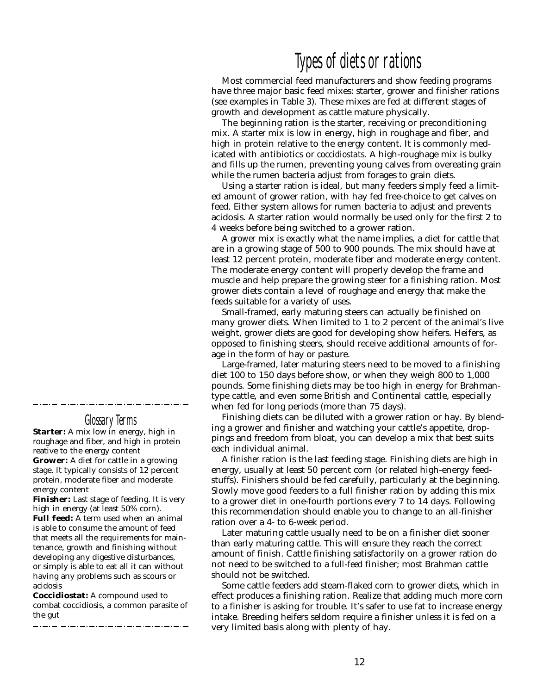## Types of diets or rations

Most commercial feed manufacturers and show feeding programs have three major basic feed mixes: starter, grower and finisher rations (see examples in Table 3). These mixes are fed at different stages of growth and development as cattle mature physically.

The beginning ration is the starter, receiving or preconditioning mix. A *starter* mix is low in energy, high in roughage and fiber, and high in protein relative to the energy content. It is commonly medicated with antibiotics or *coccidiostats*. A high-roughage mix is bulky and fills up the rumen, preventing young calves from overeating grain while the rumen bacteria adjust from forages to grain diets.

Using a starter ration is ideal, but many feeders simply feed a limited amount of grower ration, with hay fed free-choice to get calves on feed. Either system allows for rumen bacteria to adjust and prevents acidosis. A starter ration would normally be used only for the first 2 to 4 weeks before being switched to a grower ration.

A *grower* mix is exactly what the name implies, a diet for cattle that are in a growing stage of 500 to 900 pounds. The mix should have at least 12 percent protein, moderate fiber and moderate energy content. The moderate energy content will properly develop the frame and muscle and help prepare the growing steer for a finishing ration. Most grower diets contain a level of roughage and energy that make the feeds suitable for a variety of uses.

Small-framed, early maturing steers can actually be finished on many grower diets. When limited to 1 to 2 percent of the animal's live weight, grower diets are good for developing show heifers. Heifers, as opposed to finishing steers, should receive additional amounts of forage in the form of hay or pasture.

Large-framed, later maturing steers need to be moved to a finishing diet 100 to 150 days before show, or when they weigh 800 to 1,000 pounds. Some finishing diets may be too high in energy for Brahmantype cattle, and even some British and Continental cattle, especially when fed for long periods (more than 75 days).

Finishing diets can be diluted with a grower ration or hay. By blending a grower and finisher and watching your cattle's appetite, droppings and freedom from bloat, you can develop a mix that best suits each individual animal.

A *finisher* ration is the last feeding stage. Finishing diets are high in energy, usually at least 50 percent corn (or related high-energy feedstuffs). Finishers should be fed carefully, particularly at the beginning. Slowly move good feeders to a full finisher ration by adding this mix to a grower diet in one-fourth portions every 7 to 14 days. Following this recommendation should enable you to change to an all-finisher ration over a 4- to 6-week period.

Later maturing cattle usually need to be on a finisher diet sooner than early maturing cattle. This will ensure they reach the correct amount of finish. Cattle finishing satisfactorily on a grower ration do not need to be switched to a *full-feed* finisher; most Brahman cattle should not be switched.

Some cattle feeders add steam-flaked corn to grower diets, which in effect produces a finishing ration. Realize that adding much more corn to a finisher is asking for trouble. It's safer to use fat to increase energy intake. Breeding heifers seldom require a finisher unless it is fed on a very limited basis along with plenty of hay.

## Glossary Terms

**Starter:** A mix low in energy, high in roughage and fiber, and high in protein reative to the energy content **Grower:** A diet for cattle in a growing stage. It typically consists of 12 percent protein, moderate fiber and moderate energy content

**Finisher:** Last stage of feeding. It is very high in energy (at least 50% corn). **Full feed:** A term used when an animal is able to consume the amount of feed that meets all the requirements for maintenance, growth and finishing without developing any digestive disturbances, or simply is able to eat all it can without having any problems such as scours or acidosis

**Coccidiostat:** A compound used to combat coccidiosis, a common parasite of the gut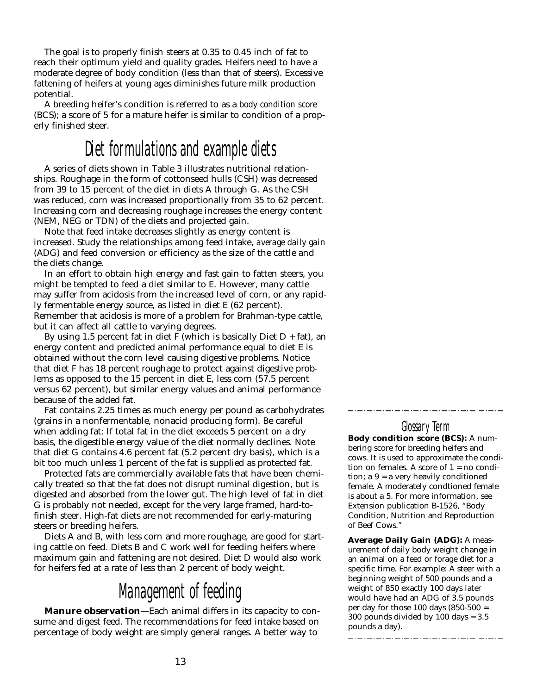The goal is to properly finish steers at 0.35 to 0.45 inch of fat to reach their optimum yield and quality grades. Heifers need to have a moderate degree of body condition (less than that of steers). Excessive fattening of heifers at young ages diminishes future milk production potential.

A breeding heifer's condition is referred to as a *body condition score* (BCS); a score of 5 for a mature heifer is similar to condition of a properly finished steer.

# Diet formulations and example diets

A series of diets shown in Table 3 illustrates nutritional relationships. Roughage in the form of cottonseed hulls (CSH) was decreased from 39 to 15 percent of the diet in diets A through G. As the CSH was reduced, corn was increased proportionally from 35 to 62 percent. Increasing corn and decreasing roughage increases the energy content (NEM, NEG or TDN) of the diets and projected gain.

Note that feed intake decreases slightly as energy content is increased. Study the relationships among feed intake, *average daily gain* (ADG) and feed conversion or efficiency as the size of the cattle and the diets change.

In an effort to obtain high energy and fast gain to fatten steers, you might be tempted to feed a diet similar to E. However, many cattle may suffer from acidosis from the increased level of corn, or any rapidly fermentable energy source, as listed in diet E (62 percent). Remember that acidosis is more of a problem for Brahman-type cattle, but it can affect all cattle to varying degrees.

By using 1.5 percent fat in diet F (which is basically Diet  $D + fat$ ), an energy content and predicted animal performance equal to diet E is obtained without the corn level causing digestive problems. Notice that diet F has 18 percent roughage to protect against digestive problems as opposed to the 15 percent in diet E, less corn (57.5 percent versus 62 percent), but similar energy values and animal performance because of the added fat.

Fat contains 2.25 times as much energy per pound as carbohydrates (grains in a nonfermentable, nonacid producing form). Be careful when adding fat: If total fat in the diet exceeds 5 percent on a dry basis, the digestible energy value of the diet normally declines. Note that diet G contains 4.6 percent fat (5.2 percent dry basis), which is a bit too much unless 1 percent of the fat is supplied as protected fat.

Protected fats are commercially available fats that have been chemically treated so that the fat does not disrupt ruminal digestion, but is digested and absorbed from the lower gut. The high level of fat in diet G is probably not needed, except for the very large framed, hard-tofinish steer. High-fat diets are not recommended for early-maturing steers or breeding heifers.

Diets A and B, with less corn and more roughage, are good for starting cattle on feed. Diets B and C work well for feeding heifers where maximum gain and fattening are not desired. Diet D would also work for heifers fed at a rate of less than 2 percent of body weight.

# Management of feeding

**Manure observation**—Each animal differs in its capacity to consume and digest feed. The recommendations for feed intake based on percentage of body weight are simply general ranges. A better way to

## Glossary Term

**Body condition score (BCS):** A numbering score for breeding heifers and cows. It is used to approximate the condition on females. A score of 1 = no condition; a 9 = a very heavily conditioned female. A moderately condtioned female is about a 5. For more information, see Extension publication B-1526, "Body Condition, Nutrition and Reproduction of Beef Cows."

**Average Daily Gain (ADG):** A measurement of daily body weight change in an animal on a feed or forage diet for a specific time. For example: A steer with a beginning weight of 500 pounds and a weight of 850 exactly 100 days later would have had an ADG of 3.5 pounds per day for those 100 days (850-500 = 300 pounds divided by 100 days = 3.5 pounds a day).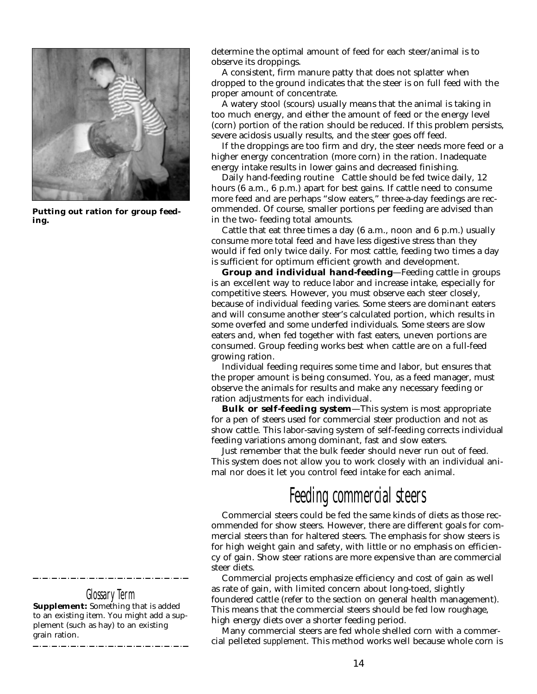

**Putting out ration for group feeding.**

Glossary Jerm

**Supplement:** Something that is added to an existing item. You might add a supplement (such as hay) to an existing grain ration.

determine the optimal amount of feed for each steer/animal is to observe its droppings.

A consistent, firm manure patty that does not splatter when dropped to the ground indicates that the steer is on full feed with the proper amount of concentrate.

A watery stool (scours) usually means that the animal is taking in too much energy, and either the amount of feed or the energy level (corn) portion of the ration should be reduced. If this problem persists, severe acidosis usually results, and the steer goes off feed.

If the droppings are too firm and dry, the steer needs more feed or a higher energy concentration (more corn) in the ration. Inadequate energy intake results in lower gains and decreased finishing.

Daily hand-feeding routine Cattle should be fed twice daily, 12 hours (6 a.m., 6 p.m.) apart for best gains. If cattle need to consume more feed and are perhaps "slow eaters," three-a-day feedings are recommended. Of course, smaller portions per feeding are advised than in the two- feeding total amounts.

Cattle that eat three times a day (6 a.m., noon and 6 p.m.) usually consume more total feed and have less digestive stress than they would if fed only twice daily. For most cattle, feeding two times a day is sufficient for optimum efficient growth and development.

**Group and individual hand-feeding**—Feeding cattle in groups is an excellent way to reduce labor and increase intake, especially for competitive steers. However, you must observe each steer closely, because of individual feeding varies. Some steers are dominant eaters and will consume another steer's calculated portion, which results in some overfed and some underfed individuals. Some steers are slow eaters and, when fed together with fast eaters, uneven portions are consumed. Group feeding works best when cattle are on a full-feed growing ration.

Individual feeding requires some time and labor, but ensures that the proper amount is being consumed. You, as a feed manager, must observe the animals for results and make any necessary feeding or ration adjustments for each individual.

**Bulk or self-feeding system**—This system is most appropriate for a pen of steers used for commercial steer production and not as show cattle. This labor-saving system of self-feeding corrects individual feeding variations among dominant, fast and slow eaters.

Just remember that the bulk feeder should never run out of feed. This system does not allow you to work closely with an individual animal nor does it let you control feed intake for each animal.

# Feeding commercial steers

Commercial steers could be fed the same kinds of diets as those recommended for show steers. However, there are different goals for commercial steers than for haltered steers. The emphasis for show steers is for high weight gain and safety, with little or no emphasis on efficiency of gain. Show steer rations are more expensive than are commercial steer diets.

Commercial projects emphasize efficiency and cost of gain as well as rate of gain, with limited concern about long-toed, slightly foundered cattle (refer to the section on general health management). This means that the commercial steers should be fed low roughage, high energy diets over a shorter feeding period.

Many commercial steers are fed whole shelled corn with a commercial pelleted *supplement*. This method works well because whole corn is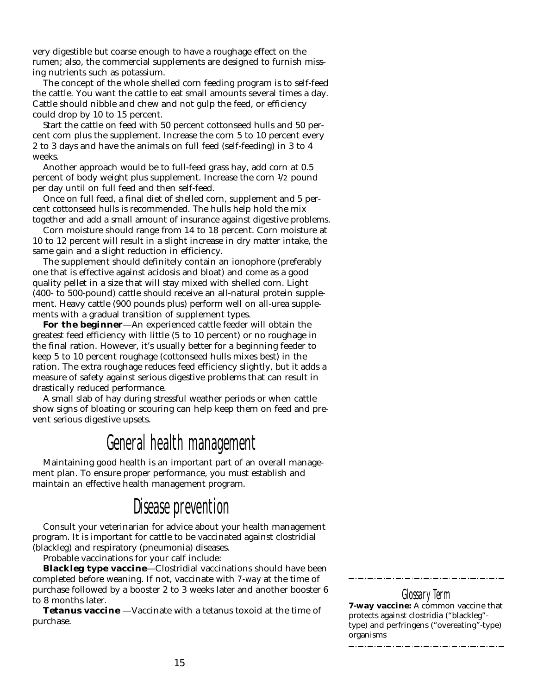very digestible but coarse enough to have a roughage effect on the rumen; also, the commercial supplements are designed to furnish missing nutrients such as potassium.

The concept of the whole shelled corn feeding program is to self-feed the cattle. You want the cattle to eat small amounts several times a day. Cattle should nibble and chew and not gulp the feed, or efficiency could drop by 10 to 15 percent.

Start the cattle on feed with 50 percent cottonseed hulls and 50 percent corn plus the supplement. Increase the corn 5 to 10 percent every 2 to 3 days and have the animals on full feed (self-feeding) in 3 to 4 weeks.

Another approach would be to full-feed grass hay, add corn at 0.5 percent of body weight plus supplement. Increase the corn 1/2 pound per day until on full feed and then self-feed.

Once on full feed, a final diet of shelled corn, supplement and 5 percent cottonseed hulls is recommended. The hulls help hold the mix together and add a small amount of insurance against digestive problems.

Corn moisture should range from 14 to 18 percent. Corn moisture at 10 to 12 percent will result in a slight increase in dry matter intake, the same gain and a slight reduction in efficiency.

The supplement should definitely contain an ionophore (preferably one that is effective against acidosis and bloat) and come as a good quality pellet in a size that will stay mixed with shelled corn. Light (400- to 500-pound) cattle should receive an all-natural protein supplement. Heavy cattle (900 pounds plus) perform well on all-urea supplements with a gradual transition of supplement types.

**For the beginner**—An experienced cattle feeder will obtain the greatest feed efficiency with little (5 to 10 percent) or no roughage in the final ration. However, it's usually better for a beginning feeder to keep 5 to 10 percent roughage (cottonseed hulls mixes best) in the ration. The extra roughage reduces feed efficiency slightly, but it adds a measure of safety against serious digestive problems that can result in drastically reduced performance.

A small slab of hay during stressful weather periods or when cattle show signs of bloating or scouring can help keep them on feed and prevent serious digestive upsets.

# General health management

Maintaining good health is an important part of an overall management plan. To ensure proper performance, you must establish and maintain an effective health management program.

# Disease prevention

Consult your veterinarian for advice about your health management program. It is important for cattle to be vaccinated against clostridial (blackleg) and respiratory (pneumonia) diseases.

Probable vaccinations for your calf include:

**Blackleg type vaccine**—Clostridial vaccinations should have been completed before weaning. If not, vaccinate with *7-way* at the time of purchase followed by a booster 2 to 3 weeks later and another booster 6 to 8 months later.

**Tetanus vaccine** —Vaccinate with a tetanus toxoid at the time of purchase.

#### Glossary Term **7-way vaccine:** A common vaccine that protects against clostridia ("blackleg" type) and perfringens ("overeating"-type) organisms

2020 . 2020 . 2020 . 2020 . 2020 . 2020 . 2020 . 20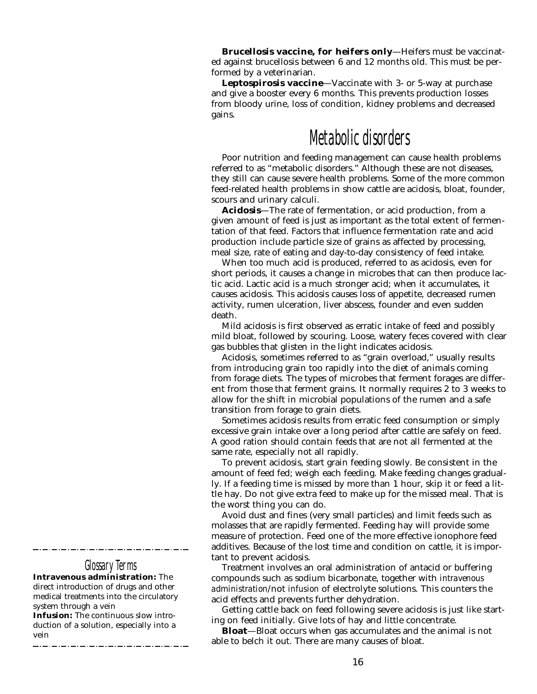**Brucellosis vaccine, for heifers only**—Heifers must be vaccinated against brucellosis between 6 and 12 months old. This must be performed by a veterinarian.

**Leptospirosis vaccine**—Vaccinate with 3- or 5-way at purchase and give a booster every 6 months. This prevents production losses from bloody urine, loss of condition, kidney problems and decreased gains.

## Metabolic disorders

Poor nutrition and feeding management can cause health problems referred to as "metabolic disorders." Although these are not diseases, they still can cause severe health problems. Some of the more common feed-related health problems in show cattle are acidosis, bloat, founder, scours and urinary calculi.

**Acidosis**—The rate of fermentation, or acid production, from a given amount of feed is just as important as the total extent of fermentation of that feed. Factors that influence fermentation rate and acid production include particle size of grains as affected by processing, meal size, rate of eating and day-to-day consistency of feed intake.

When too much acid is produced, referred to as acidosis, even for short periods, it causes a change in microbes that can then produce lactic acid. Lactic acid is a much stronger acid; when it accumulates, it causes acidosis. This acidosis causes loss of appetite, decreased rumen activity, rumen ulceration, liver abscess, founder and even sudden death.

Mild acidosis is first observed as erratic intake of feed and possibly mild bloat, followed by scouring. Loose, watery feces covered with clear gas bubbles that glisten in the light indicates acidosis.

Acidosis, sometimes referred to as "grain overload," usually results from introducing grain too rapidly into the diet of animals coming from forage diets. The types of microbes that ferment forages are different from those that ferment grains. It normally requires 2 to 3 weeks to allow for the shift in microbial populations of the rumen and a safe transition from forage to grain diets.

Sometimes acidosis results from erratic feed consumption or simply excessive grain intake over a long period after cattle are safely on feed. A good ration should contain feeds that are not all fermented at the same rate, especially not all rapidly.

To prevent acidosis, start grain feeding slowly. Be consistent in the amount of feed fed; weigh each feeding. Make feeding changes gradually. If a feeding time is missed by more than 1 hour, skip it or feed a little hay. Do not give extra feed to make up for the missed meal. That is the worst thing you can do.

Avoid dust and fines (very small particles) and limit feeds such as molasses that are rapidly fermented. Feeding hay will provide some measure of protection. Feed one of the more effective ionophore feed additives. Because of the lost time and condition on cattle, it is important to prevent acidosis.

Treatment involves an oral administration of antacid or buffering compounds such as sodium bicarbonate, together with *intravenous administration*/not *infusion* of electrolyte solutions. This counters the acid effects and prevents further dehydration.

Getting cattle back on feed following severe acidosis is just like starting on feed initially. Give lots of hay and little concentrate.

**Bloat**—Bloat occurs when gas accumulates and the animal is not able to belch it out. There are many causes of bloat.

## Glossary Terms

**Intravenous administration:** The direct introduction of drugs and other medical treatments into the circulatory system through a vein

**Infusion:** The continuous slow introduction of a solution, especially into a vein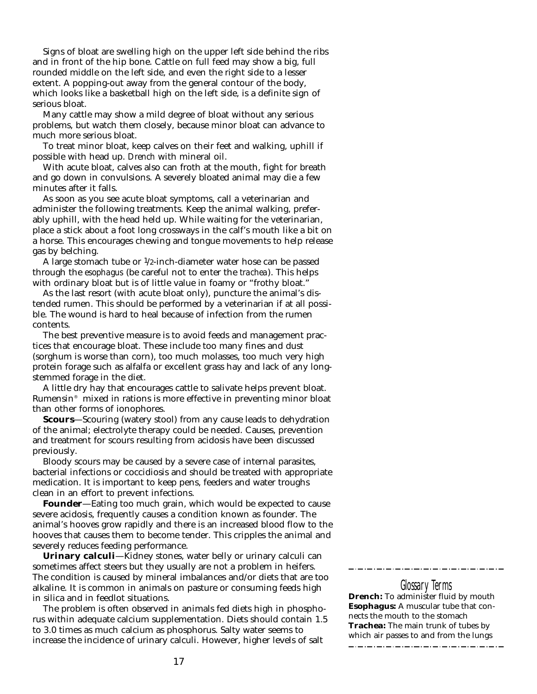Signs of bloat are swelling high on the upper left side behind the ribs and in front of the hip bone. Cattle on full feed may show a big, full rounded middle on the left side, and even the right side to a lesser extent. A popping-out away from the general contour of the body, which looks like a basketball high on the left side, is a definite sign of serious bloat.

Many cattle may show a mild degree of bloat without any serious problems, but watch them closely, because minor bloat can advance to much more serious bloat.

To treat minor bloat, keep calves on their feet and walking, uphill if possible with head up. *Drench* with mineral oil.

With acute bloat, calves also can froth at the mouth, fight for breath and go down in convulsions. A severely bloated animal may die a few minutes after it falls.

As soon as you see acute bloat symptoms, call a veterinarian and administer the following treatments. Keep the animal walking, preferably uphill, with the head held up. While waiting for the veterinarian, place a stick about a foot long crossways in the calf's mouth like a bit on a horse. This encourages chewing and tongue movements to help release gas by belching.

A large stomach tube or 1/2-inch-diameter water hose can be passed through the *esophagus* (be careful not to enter the *trachea*). This helps with ordinary bloat but is of little value in foamy or "frothy bloat."

As the last resort (with acute bloat only), puncture the animal's distended rumen. This should be performed by a veterinarian if at all possible. The wound is hard to heal because of infection from the rumen contents.

The best preventive measure is to avoid feeds and management practices that encourage bloat. These include too many fines and dust (sorghum is worse than corn), too much molasses, too much very high protein forage such as alfalfa or excellent grass hay and lack of any longstemmed forage in the diet.

A little dry hay that encourages cattle to salivate helps prevent bloat. Rumensin® mixed in rations is more effective in preventing minor bloat than other forms of ionophores.

**Scours**—Scouring (watery stool) from any cause leads to dehydration of the animal; electrolyte therapy could be needed. Causes, prevention and treatment for scours resulting from acidosis have been discussed previously.

Bloody scours may be caused by a severe case of internal parasites, bacterial infections or coccidiosis and should be treated with appropriate medication. It is important to keep pens, feeders and water troughs clean in an effort to prevent infections.

**Founder**—Eating too much grain, which would be expected to cause severe acidosis, frequently causes a condition known as founder. The animal's hooves grow rapidly and there is an increased blood flow to the hooves that causes them to become tender. This cripples the animal and severely reduces feeding performance.

**Urinary calculi**—Kidney stones, water belly or urinary calculi can sometimes affect steers but they usually are not a problem in heifers. The condition is caused by mineral imbalances and/or diets that are too alkaline. It is common in animals on pasture or consuming feeds high in silica and in feedlot situations.

The problem is often observed in animals fed diets high in phosphorus within adequate calcium supplementation. Diets should contain 1.5 to 3.0 times as much calcium as phosphorus. Salty water seems to increase the incidence of urinary calculi. However, higher levels of salt

#### Glossary Terms

\_ . \_ . \_ . \_ . \_ . \_ . \_ .

\_ . \_\_ . \_\_ . \_\_ . \_\_ . \_\_ . \_\_

**Drench:** To administer fluid by mouth **Esophagus:** A muscular tube that connects the mouth to the stomach **Trachea:** The main trunk of tubes by which air passes to and from the lungs\_\_\_\_\_\_\_\_\_\_\_\_\_\_\_\_\_\_\_\_\_\_\_\_\_\_\_\_\_\_\_\_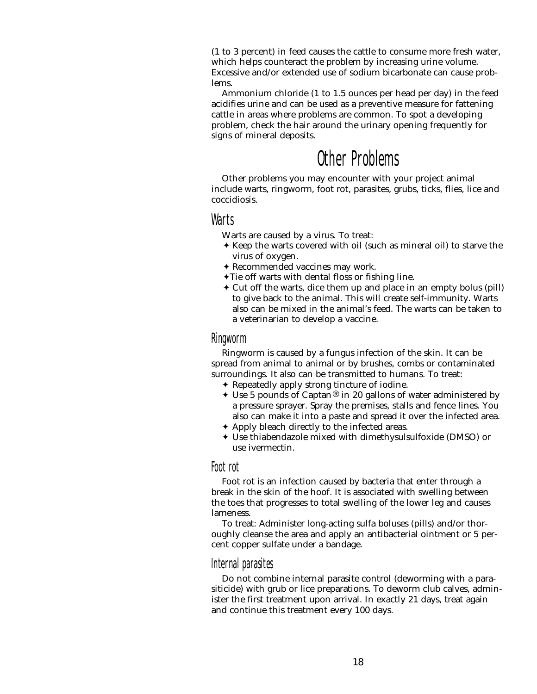(1 to 3 percent) in feed causes the cattle to consume more fresh water, which helps counteract the problem by increasing urine volume. Excessive and/or extended use of sodium bicarbonate can cause problems.

Ammonium chloride (1 to 1.5 ounces per head per day) in the feed acidifies urine and can be used as a preventive measure for fattening cattle in areas where problems are common. To spot a developing problem, check the hair around the urinary opening frequently for signs of mineral deposits.

# Other Problems

Other problems you may encounter with your project animal include warts, ringworm, foot rot, parasites, grubs, ticks, flies, lice and coccidiosis.

## Warts

Warts are caused by a virus. To treat:

- ✦ Keep the warts covered with oil (such as mineral oil) to starve the virus of oxygen.
- ✦ Recommended vaccines may work.
- ✦Tie off warts with dental floss or fishing line.
- ✦ Cut off the warts, dice them up and place in an empty bolus (pill) to give back to the animal. This will create self-immunity. Warts also can be mixed in the animal's feed. The warts can be taken to a veterinarian to develop a vaccine.

#### Ringworm

Ringworm is caused by a fungus infection of the skin. It can be spread from animal to animal or by brushes, combs or contaminated surroundings. It also can be transmitted to humans. To treat:

- ✦ Repeatedly apply strong tincture of iodine.
- $\triangleleft$  Use 5 pounds of Captan<sup>®</sup> in 20 gallons of water administered by a pressure sprayer. Spray the premises, stalls and fence lines. You also can make it into a paste and spread it over the infected area.
- ✦ Apply bleach directly to the infected areas.
- ✦ Use thiabendazole mixed with dimethysulsulfoxide (DMSO) or use ivermectin.

#### Foot rot

Foot rot is an infection caused by bacteria that enter through a break in the skin of the hoof. It is associated with swelling between the toes that progresses to total swelling of the lower leg and causes lameness.

To treat: Administer long-acting sulfa boluses (pills) and/or thoroughly cleanse the area and apply an antibacterial ointment or 5 percent copper sulfate under a bandage.

## Internal parasites

Do not combine internal parasite control (deworming with a parasiticide) with grub or lice preparations. To deworm club calves, administer the first treatment upon arrival. In exactly 21 days, treat again and continue this treatment every 100 days.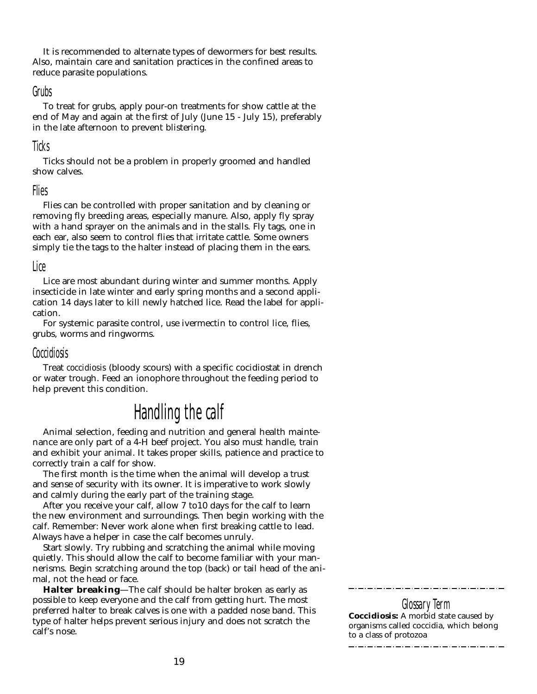It is recommended to alternate types of dewormers for best results. Also, maintain care and sanitation practices in the confined areas to reduce parasite populations.

#### Grubs

To treat for grubs, apply pour-on treatments for show cattle at the end of May and again at the first of July (June 15 - July 15), preferably in the late afternoon to prevent blistering.

#### Ticks

Ticks should not be a problem in properly groomed and handled show calves.

#### Flies

Flies can be controlled with proper sanitation and by cleaning or removing fly breeding areas, especially manure. Also, apply fly spray with a hand sprayer on the animals and in the stalls. Fly tags, one in each ear, also seem to control flies that irritate cattle. Some owners simply tie the tags to the halter instead of placing them in the ears.

#### Lice

Lice are most abundant during winter and summer months. Apply insecticide in late winter and early spring months and a second application 14 days later to kill newly hatched lice. Read the label for application.

For systemic parasite control, use ivermectin to control lice, flies, grubs, worms and ringworms.

#### Coccidiosis

Treat *coccidiosis* (bloody scours) with a specific cocidiostat in drench or water trough. Feed an ionophore throughout the feeding period to help prevent this condition.

# Handling the calf

Animal selection, feeding and nutrition and general health maintenance are only part of a 4-H beef project. You also must handle, train and exhibit your animal. It takes proper skills, patience and practice to correctly train a calf for show.

The first month is the time when the animal will develop a trust and sense of security with its owner. It is imperative to work slowly and calmly during the early part of the training stage.

After you receive your calf, allow 7 to10 days for the calf to learn the new environment and surroundings. Then begin working with the calf. Remember: Never work alone when first breaking cattle to lead. Always have a helper in case the calf becomes unruly.

Start slowly. Try rubbing and scratching the animal while moving quietly. This should allow the calf to become familiar with your mannerisms. Begin scratching around the top (back) or tail head of the animal, not the head or face.

**Halter breaking**—The calf should be halter broken as early as possible to keep everyone and the calf from getting hurt. The most preferred halter to break calves is one with a padded nose band. This type of halter helps prevent serious injury and does not scratch the calf's nose.

Glossary Term **Coccidiosis:** A morbid state caused by organisms called coccidia, which belong to a class of protozoa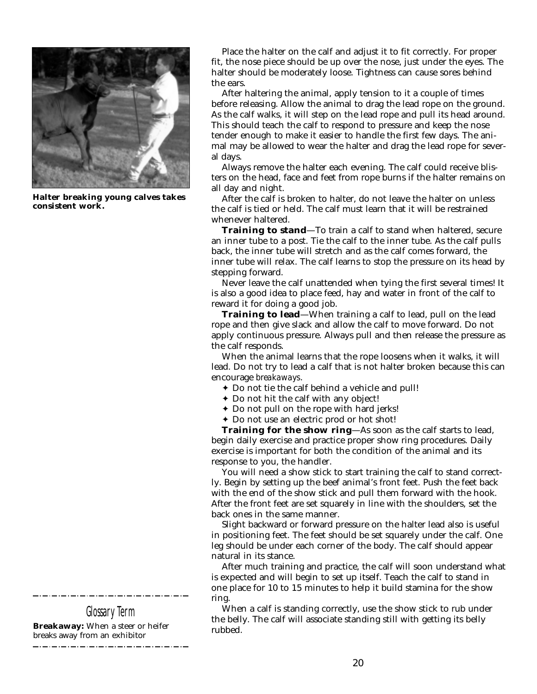

**Halter breaking young calves takes consistent work.**

Glossary Term

**Breakaway:** When a steer or heifer breaks away from an exhibitor

Place the halter on the calf and adjust it to fit correctly. For proper fit, the nose piece should be up over the nose, just under the eyes. The halter should be moderately loose. Tightness can cause sores behind the ears.

After haltering the animal, apply tension to it a couple of times before releasing. Allow the animal to drag the lead rope on the ground. As the calf walks, it will step on the lead rope and pull its head around. This should teach the calf to respond to pressure and keep the nose tender enough to make it easier to handle the first few days. The animal may be allowed to wear the halter and drag the lead rope for several days.

Always remove the halter each evening. The calf could receive blisters on the head, face and feet from rope burns if the halter remains on all day and night.

After the calf is broken to halter, do not leave the halter on unless the calf is tied or held. The calf must learn that it will be restrained whenever haltered.

**Training to stand**—To train a calf to stand when haltered, secure an inner tube to a post. Tie the calf to the inner tube. As the calf pulls back, the inner tube will stretch and as the calf comes forward, the inner tube will relax. The calf learns to stop the pressure on its head by stepping forward.

Never leave the calf unattended when tying the first several times! It is also a good idea to place feed, hay and water in front of the calf to reward it for doing a good job.

**Training to lead**—When training a calf to lead, pull on the lead rope and then give slack and allow the calf to move forward. Do not apply continuous pressure. Always pull and then release the pressure as the calf responds.

When the animal learns that the rope loosens when it walks, it will lead. Do not try to lead a calf that is not halter broken because this can encourage *breakaways*.

- ✦ Do not tie the calf behind a vehicle and pull!
- ✦ Do not hit the calf with any object!
- ✦ Do not pull on the rope with hard jerks!
- ✦ Do not use an electric prod or hot shot!

**Training for the show ring**—As soon as the calf starts to lead, begin daily exercise and practice proper show ring procedures. Daily exercise is important for both the condition of the animal and its response to you, the handler.

You will need a show stick to start training the calf to stand correctly. Begin by setting up the beef animal's front feet. Push the feet back with the end of the show stick and pull them forward with the hook. After the front feet are set squarely in line with the shoulders, set the back ones in the same manner.

Slight backward or forward pressure on the halter lead also is useful in positioning feet. The feet should be set squarely under the calf. One leg should be under each corner of the body. The calf should appear natural in its stance.

After much training and practice, the calf will soon understand what is expected and will begin to set up itself. Teach the calf to stand in one place for 10 to 15 minutes to help it build stamina for the show ring.

When a calf is standing correctly, use the show stick to rub under the belly. The calf will associate standing still with getting its belly rubbed.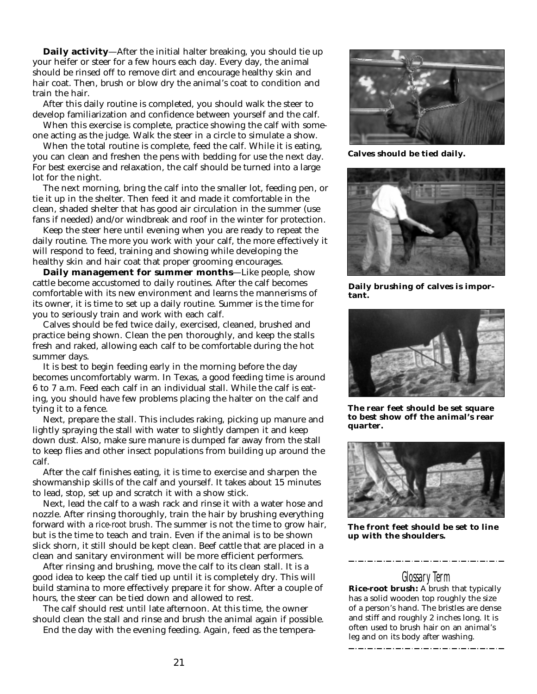**Daily activity**—After the initial halter breaking, you should tie up your heifer or steer for a few hours each day. Every day, the animal should be rinsed off to remove dirt and encourage healthy skin and hair coat. Then, brush or blow dry the animal's coat to condition and train the hair.

After this daily routine is completed, you should walk the steer to develop familiarization and confidence between yourself and the calf.

When this exercise is complete, practice showing the calf with someone acting as the judge. Walk the steer in a circle to simulate a show.

When the total routine is complete, feed the calf. While it is eating, you can clean and freshen the pens with bedding for use the next day. For best exercise and relaxation, the calf should be turned into a large lot for the night.

The next morning, bring the calf into the smaller lot, feeding pen, or tie it up in the shelter. Then feed it and made it comfortable in the clean, shaded shelter that has good air circulation in the summer (use fans if needed) and/or windbreak and roof in the winter for protection.

Keep the steer here until evening when you are ready to repeat the daily routine. The more you work with your calf, the more effectively it will respond to feed, training and showing while developing the healthy skin and hair coat that proper grooming encourages.

**Daily management for summer months**—Like people, show cattle become accustomed to daily routines. After the calf becomes comfortable with its new environment and learns the mannerisms of its owner, it is time to set up a daily routine. Summer is the time for you to seriously train and work with each calf.

Calves should be fed twice daily, exercised, cleaned, brushed and practice being shown. Clean the pen thoroughly, and keep the stalls fresh and raked, allowing each calf to be comfortable during the hot summer days.

It is best to begin feeding early in the morning before the day becomes uncomfortably warm. In Texas, a good feeding time is around 6 to 7 a.m. Feed each calf in an individual stall. While the calf is eating, you should have few problems placing the halter on the calf and tying it to a fence.

Next, prepare the stall. This includes raking, picking up manure and lightly spraying the stall with water to slightly dampen it and keep down dust. Also, make sure manure is dumped far away from the stall to keep flies and other insect populations from building up around the calf.

After the calf finishes eating, it is time to exercise and sharpen the showmanship skills of the calf and yourself. It takes about 15 minutes to lead, stop, set up and scratch it with a show stick.

Next, lead the calf to a wash rack and rinse it with a water hose and nozzle. After rinsing thoroughly, train the hair by brushing everything forward with a *rice-root brush*. The summer is not the time to grow hair, but is the time to teach and train. Even if the animal is to be shown slick shorn, it still should be kept clean. Beef cattle that are placed in a clean and sanitary environment will be more efficient performers.

After rinsing and brushing, move the calf to its clean stall. It is a good idea to keep the calf tied up until it is completely dry. This will build stamina to more effectively prepare it for show. After a couple of hours, the steer can be tied down and allowed to rest.

The calf should rest until late afternoon. At this time, the owner should clean the stall and rinse and brush the animal again if possible. End the day with the evening feeding. Again, feed as the tempera-



**Calves should be tied daily.**



**Daily brushing of calves is important.**



**The rear feet should be set square to best show off the animal's rear quarter.**



**The front feet should be set to line up with the shoulders.**

Glossary Term **Rice-root brush:** A brush that typically has a solid wooden top roughly the size of a person's hand. The bristles are dense and stiff and roughly 2 inches long. It is often used to brush hair on an animal's leg and on its body after washing.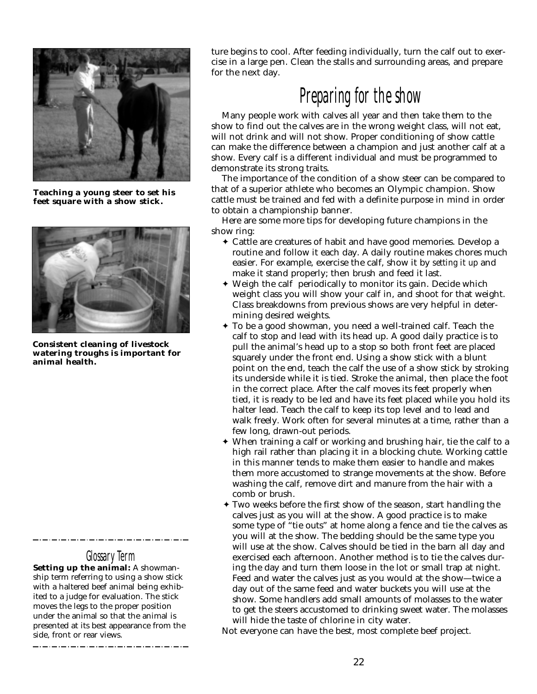

**Teaching a young steer to set his feet square with a show stick.**



**Consistent cleaning of livestock watering troughs is important for animal health.**

## Glossary Term

**Setting up the animal:** A showmanship term referring to using a show stick with a haltered beef animal being exhibited to a judge for evaluation. The stick moves the legs to the proper position under the animal so that the animal is presented at its best appearance from the side, front or rear views.

ture begins to cool. After feeding individually, turn the calf out to exercise in a large pen. Clean the stalls and surrounding areas, and prepare for the next day.

# Preparing for the show

Many people work with calves all year and then take them to the show to find out the calves are in the wrong weight class, will not eat, will not drink and will not show. Proper conditioning of show cattle can make the difference between a champion and just another calf at a show. Every calf is a different individual and must be programmed to demonstrate its strong traits.

The importance of the condition of a show steer can be compared to that of a superior athlete who becomes an Olympic champion. Show cattle must be trained and fed with a definite purpose in mind in order to obtain a championship banner.

Here are some more tips for developing future champions in the show ring:

- ✦ Cattle are creatures of habit and have good memories. Develop a routine and follow it each day. A daily routine makes chores much easier. For example, exercise the calf, show it by *setting it up* and make it stand properly; then brush and feed it last.
- ✦ Weigh the calf periodically to monitor its gain. Decide which weight class you will show your calf in, and shoot for that weight. Class breakdowns from previous shows are very helpful in determining desired weights.
- ✦ To be a good showman, you need a well-trained calf. Teach the calf to stop and lead with its head up. A good daily practice is to pull the animal's head up to a stop so both front feet are placed squarely under the front end. Using a show stick with a blunt point on the end, teach the calf the use of a show stick by stroking its underside while it is tied. Stroke the animal, then place the foot in the correct place. After the calf moves its feet properly when tied, it is ready to be led and have its feet placed while you hold its halter lead. Teach the calf to keep its top level and to lead and walk freely. Work often for several minutes at a time, rather than a few long, drawn-out periods.
- ✦ When training a calf or working and brushing hair, tie the calf to a high rail rather than placing it in a blocking chute. Working cattle in this manner tends to make them easier to handle and makes them more accustomed to strange movements at the show. Before washing the calf, remove dirt and manure from the hair with a comb or brush.
- ✦ Two weeks before the first show of the season, start handling the calves just as you will at the show. A good practice is to make some type of "tie outs" at home along a fence and tie the calves as you will at the show. The bedding should be the same type you will use at the show. Calves should be tied in the barn all day and exercised each afternoon. Another method is to tie the calves during the day and turn them loose in the lot or small trap at night. Feed and water the calves just as you would at the show—twice a day out of the same feed and water buckets you will use at the show. Some handlers add small amounts of molasses to the water to get the steers accustomed to drinking sweet water. The molasses will hide the taste of chlorine in city water.

Not everyone can have the best, most complete beef project.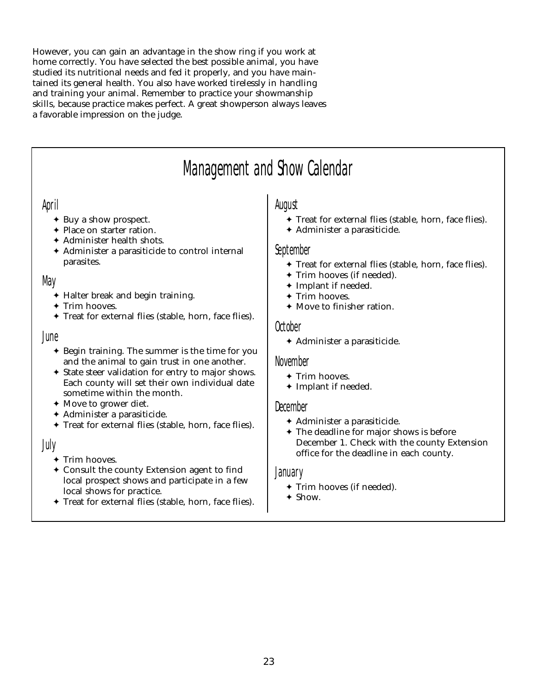However, you can gain an advantage in the show ring if you work at home correctly. You have selected the best possible animal, you have studied its nutritional needs and fed it properly, and you have maintained its general health. You also have worked tirelessly in handling and training your animal. Remember to practice your showmanship skills, because practice makes perfect. A great showperson always leaves a favorable impression on the judge.

# Management and Show Calendar

## April

- ✦ Buy a show prospect.
- ✦ Place on starter ration.
- ✦ Administer health shots.
- ✦ Administer a parasiticide to control internal parasites.

## May

- ✦ Halter break and begin training.
- ✦ Trim hooves.
- ✦ Treat for external flies (stable, horn, face flies).

#### June

- ✦ Begin training. The summer is the time for you and the animal to gain trust in one another.
- ✦ State steer validation for entry to major shows. Each county will set their own individual date sometime within the month.
- ✦ Move to grower diet.
- ✦ Administer a parasiticide.
- ✦ Treat for external flies (stable, horn, face flies).

## July

- ✦ Trim hooves.
- ✦ Consult the county Extension agent to find local prospect shows and participate in a few local shows for practice.
- ✦ Treat for external flies (stable, horn, face flies).

## August

- ✦ Treat for external flies (stable, horn, face flies).
- ✦ Administer a parasiticide.

#### September

- ✦ Treat for external flies (stable, horn, face flies).
- ✦ Trim hooves (if needed).
- ✦ Implant if needed.
- ✦ Trim hooves.
- ✦ Move to finisher ration.

#### October

✦ Administer a parasiticide.

#### November

- ✦ Trim hooves.
- ✦ Implant if needed.

#### December

- ✦ Administer a parasiticide.
- ✦ The deadline for major shows is before December 1. Check with the county Extension office for the deadline in each county.

#### January

- ✦ Trim hooves (if needed).
- ✦ Show.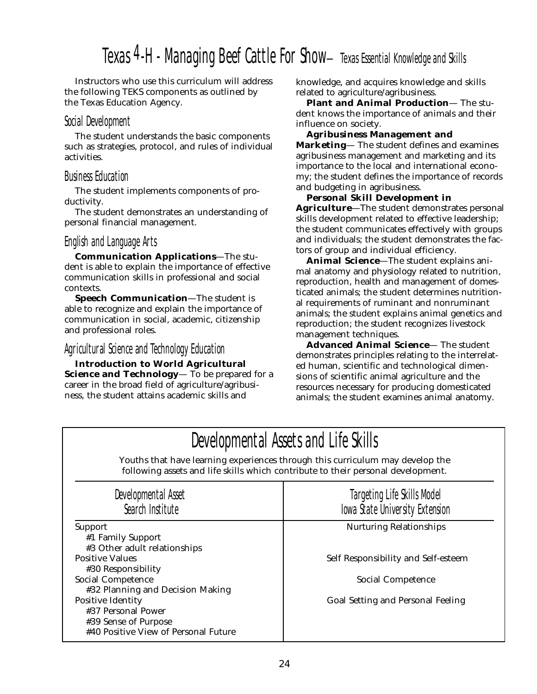# Texas 4-H - Managing Beef Cattle For Show-Texas Essential Knowledge and Skills

Instructors who use this curriculum will address the following TEKS components as outlined by the Texas Education Agency.

#### Social Development

The student understands the basic components such as strategies, protocol, and rules of individual activities.

## Business Education

The student implements components of productivity.

The student demonstrates an understanding of personal financial management.

## English and Language Arts

**Communication Applications**—The student is able to explain the importance of effective communication skills in professional and social contexts.

**Speech Communication**—The student is able to recognize and explain the importance of communication in social, academic, citizenship and professional roles.

## Agricultural Science and Technology Education

**Introduction to World Agricultural Science and Technology**— To be prepared for a career in the broad field of agriculture/agribusiness, the student attains academic skills and

knowledge, and acquires knowledge and skills related to agriculture/agribusiness.

**Plant and Animal Production**— The student knows the importance of animals and their influence on society.

**Agribusiness Management and Marketing**— The student defines and examines agribusiness management and marketing and its importance to the local and international economy; the student defines the importance of records and budgeting in agribusiness.

#### **Personal Skill Development in**

**Agriculture**—The student demonstrates personal skills development related to effective leadership; the student communicates effectively with groups and individuals; the student demonstrates the factors of group and individual efficiency.

**Animal Science**—The student explains animal anatomy and physiology related to nutrition, reproduction, health and management of domesticated animals; the student determines nutritional requirements of ruminant and nonruminant animals; the student explains animal genetics and reproduction; the student recognizes livestock management techniques.

**Advanced Animal Science**— The student demonstrates principles relating to the interrelated human, scientific and technological dimensions of scientific animal agriculture and the resources necessary for producing domesticated animals; the student examines animal anatomy.

| Developmental Assets and Life Skills                                                                                                                              |                                                                |  |  |  |  |
|-------------------------------------------------------------------------------------------------------------------------------------------------------------------|----------------------------------------------------------------|--|--|--|--|
| Youths that have learning experiences through this curriculum may develop the<br>following assets and life skills which contribute to their personal development. |                                                                |  |  |  |  |
| Developmental Asset<br>Search Institute                                                                                                                           | Targeting Life Skills Model<br>Iowa State University Extension |  |  |  |  |
| <b>Support</b>                                                                                                                                                    | <b>Nurturing Relationships</b>                                 |  |  |  |  |
| #1 Family Support                                                                                                                                                 |                                                                |  |  |  |  |
| #3 Other adult relationships                                                                                                                                      |                                                                |  |  |  |  |
| <b>Positive Values</b><br>#30 Responsibility                                                                                                                      | Self Responsibility and Self-esteem                            |  |  |  |  |
| <b>Social Competence</b><br>#32 Planning and Decision Making                                                                                                      | Social Competence                                              |  |  |  |  |
| <b>Positive Identity</b>                                                                                                                                          | <b>Goal Setting and Personal Feeling</b>                       |  |  |  |  |
| #37 Personal Power                                                                                                                                                |                                                                |  |  |  |  |
| #39 Sense of Purpose                                                                                                                                              |                                                                |  |  |  |  |
| #40 Positive View of Personal Future                                                                                                                              |                                                                |  |  |  |  |